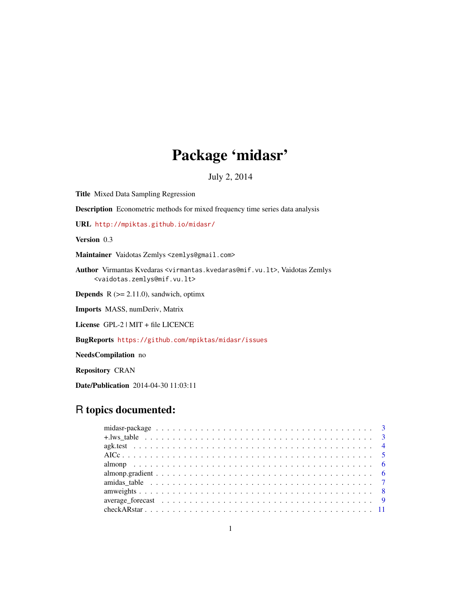## Package 'midasr'

July 2, 2014

<span id="page-0-0"></span>Title Mixed Data Sampling Regression

Description Econometric methods for mixed frequency time series data analysis

URL <http://mpiktas.github.io/midasr/>

Version 0.3

Maintainer Vaidotas Zemlys <zemlys@gmail.com>

Author Virmantas Kvedaras <virmantas.kvedaras@mif.vu.lt>, Vaidotas Zemlys <vaidotas.zemlys@mif.vu.lt>

**Depends**  $R$  ( $>= 2.11.0$ ), sandwich, optimx

Imports MASS, numDeriv, Matrix

License GPL-2 | MIT + file LICENCE

BugReports <https://github.com/mpiktas/midasr/issues>

NeedsCompilation no

Repository CRAN

Date/Publication 2014-04-30 11:03:11

## R topics documented: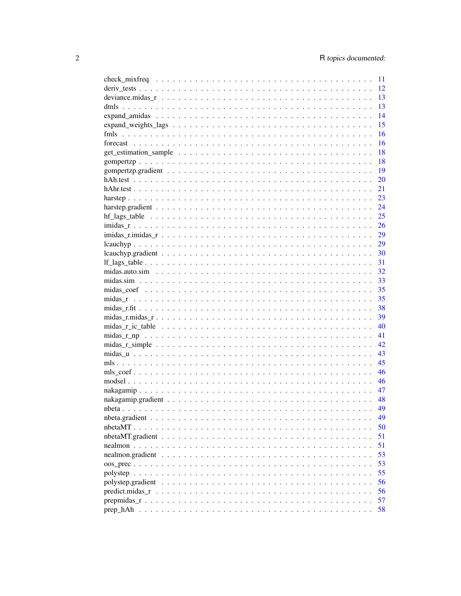|                                                                                                              | 11 |
|--------------------------------------------------------------------------------------------------------------|----|
|                                                                                                              | 12 |
|                                                                                                              | 13 |
|                                                                                                              | 13 |
|                                                                                                              | 14 |
|                                                                                                              | 15 |
|                                                                                                              | 16 |
|                                                                                                              | 16 |
|                                                                                                              | 18 |
|                                                                                                              | 18 |
|                                                                                                              | 19 |
|                                                                                                              | 20 |
|                                                                                                              | 21 |
|                                                                                                              | 23 |
|                                                                                                              | 24 |
|                                                                                                              | 25 |
|                                                                                                              | 26 |
|                                                                                                              | 29 |
|                                                                                                              | 29 |
|                                                                                                              | 30 |
|                                                                                                              | 31 |
|                                                                                                              | 32 |
|                                                                                                              | 33 |
|                                                                                                              | 35 |
|                                                                                                              | 35 |
|                                                                                                              | 38 |
|                                                                                                              | 39 |
|                                                                                                              | 40 |
|                                                                                                              | 41 |
|                                                                                                              | 42 |
|                                                                                                              | 43 |
|                                                                                                              | 45 |
|                                                                                                              | 46 |
|                                                                                                              | 46 |
|                                                                                                              | 47 |
|                                                                                                              | 48 |
|                                                                                                              | 49 |
|                                                                                                              | 49 |
|                                                                                                              | 50 |
|                                                                                                              | 51 |
|                                                                                                              | 51 |
|                                                                                                              | 53 |
|                                                                                                              | 53 |
|                                                                                                              | 55 |
|                                                                                                              | 56 |
| $predict.midas_r \ldots \ldots \ldots \ldots \ldots \ldots \ldots \ldots \ldots \ldots \ldots \ldots \ldots$ | 56 |
|                                                                                                              | 57 |
|                                                                                                              | 58 |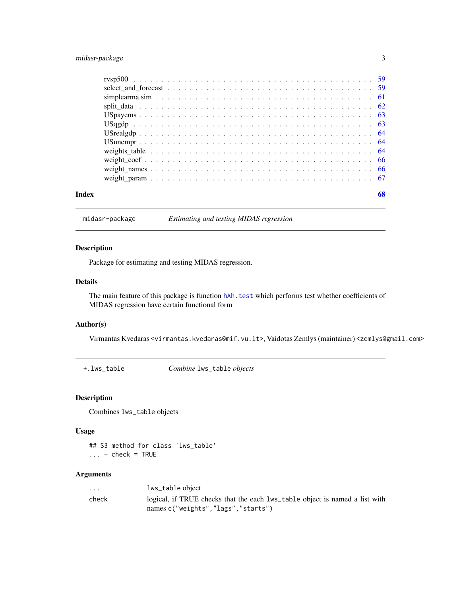### <span id="page-2-0"></span>midasr-package 3

| Index | 68 |
|-------|----|

midasr-package *Estimating and testing MIDAS regression*

### <span id="page-2-1"></span>Description

Package for estimating and testing MIDAS regression.

#### Details

The main feature of this package is function hAh. test which performs test whether coefficients of MIDAS regression have certain functional form

#### Author(s)

Virmantas Kvedaras <virmantas.kvedaras@mif.vu.lt>, Vaidotas Zemlys (maintainer) <zemlys@gmail.com>

+.lws\_table *Combine* lws\_table *objects*

#### Description

Combines lws\_table objects

#### Usage

## S3 method for class 'lws\_table'  $\ldots$  + check = TRUE

#### Arguments

| $\cdots$ | lws_table object                                                            |
|----------|-----------------------------------------------------------------------------|
| check    | logical, if TRUE checks that the each lws_table object is named a list with |
|          | names c("weights","lags","starts")                                          |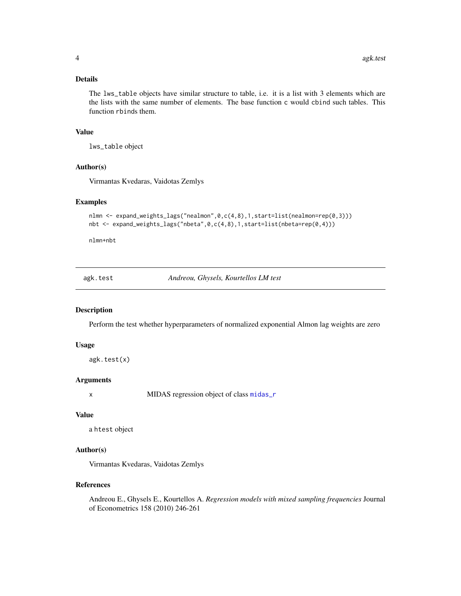#### <span id="page-3-0"></span>Details

The lws\_table objects have similar structure to table, i.e. it is a list with 3 elements which are the lists with the same number of elements. The base function c would cbind such tables. This function rbinds them.

#### Value

lws\_table object

#### Author(s)

Virmantas Kvedaras, Vaidotas Zemlys

#### Examples

```
nlmn <- expand_weights_lags("nealmon",0,c(4,8),1,start=list(nealmon=rep(0,3)))
nbt <- expand_weights_lags("nbeta",0,c(4,8),1,start=list(nbeta=rep(0,4)))
```
nlmn+nbt

agk.test *Andreou, Ghysels, Kourtellos LM test*

#### Description

Perform the test whether hyperparameters of normalized exponential Almon lag weights are zero

#### Usage

```
agk.test(x)
```
#### Arguments

x MIDAS regression object of class [midas\\_r](#page-34-1)

#### Value

a htest object

#### Author(s)

Virmantas Kvedaras, Vaidotas Zemlys

#### References

Andreou E., Ghysels E., Kourtellos A. *Regression models with mixed sampling frequencies* Journal of Econometrics 158 (2010) 246-261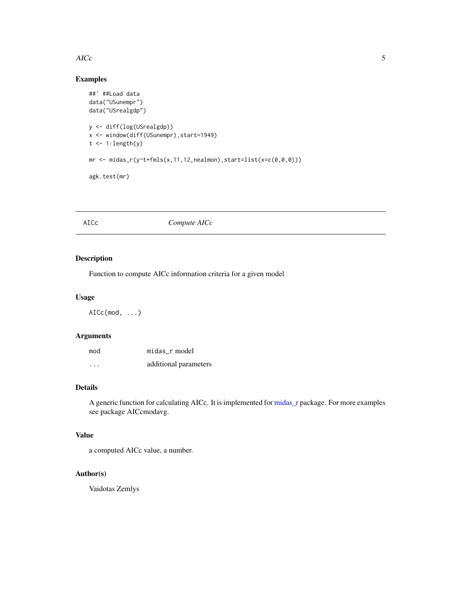#### <span id="page-4-0"></span> $\angle$  AICc  $\frac{1}{2}$  5

### Examples

```
##' ##Load data
data("USunempr")
data("USrealgdp")
y <- diff(log(USrealgdp))
x <- window(diff(USunempr),start=1949)
t <- 1:length(y)
mr \leftarrow midas_r(y^{\sim}t+fmls(x,11,12,nealmon), start=list(x=c(0,0,0)))agk.test(mr)
```
### AICc *Compute AICc*

### Description

Function to compute AICc information criteria for a given model

#### Usage

AICc(mod, ...)

### Arguments

| mod     | midas r model         |
|---------|-----------------------|
| $\cdot$ | additional parameters |

### Details

A generic function for calculating AICc. It is implemented for [midas\\_r](#page-34-1) package. For more examples see package AICcmodavg.

### Value

a computed AICc value, a number.

### Author(s)

Vaidotas Zemlys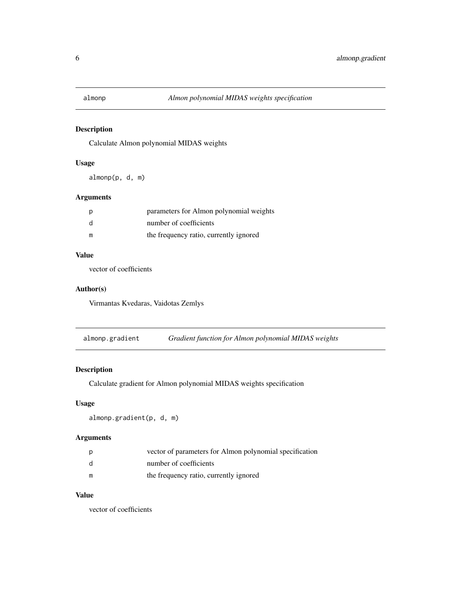<span id="page-5-0"></span>

Calculate Almon polynomial MIDAS weights

### Usage

almonp(p, d, m)

### Arguments

| p | parameters for Almon polynomial weights |
|---|-----------------------------------------|
| d | number of coefficients                  |
| m | the frequency ratio, currently ignored  |

#### Value

vector of coefficients

### Author(s)

Virmantas Kvedaras, Vaidotas Zemlys

almonp.gradient *Gradient function for Almon polynomial MIDAS weights*

### Description

Calculate gradient for Almon polynomial MIDAS weights specification

### Usage

```
almonp.gradient(p, d, m)
```
### Arguments

| p | vector of parameters for Almon polynomial specification |
|---|---------------------------------------------------------|
| d | number of coefficients                                  |
| m | the frequency ratio, currently ignored                  |

### Value

vector of coefficients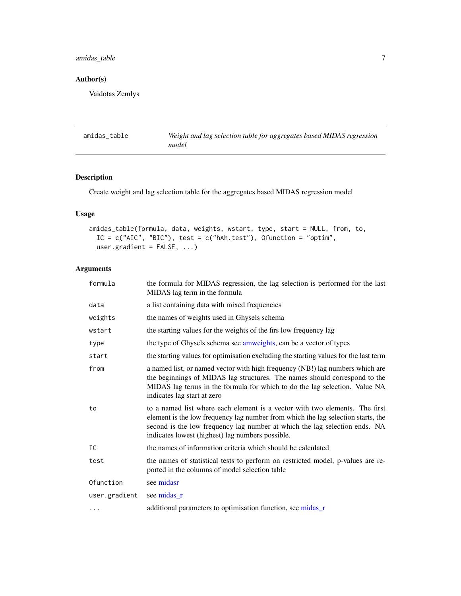### <span id="page-6-0"></span>amidas\_table 7

### Author(s)

Vaidotas Zemlys

<span id="page-6-1"></span>

| amidas table | Weight and lag selection table for aggregates based MIDAS regression |
|--------------|----------------------------------------------------------------------|
|              | model                                                                |

### Description

Create weight and lag selection table for the aggregates based MIDAS regression model

### Usage

```
amidas_table(formula, data, weights, wstart, type, start = NULL, from, to,
  IC = c("AIC", "BIC"), test = c("hAh.test"), Ofunction = "optim",
 user.gradient = FALSE, ...)
```
### Arguments

| formula       | the formula for MIDAS regression, the lag selection is performed for the last<br>MIDAS lag term in the formula                                                                                                                                                                                    |
|---------------|---------------------------------------------------------------------------------------------------------------------------------------------------------------------------------------------------------------------------------------------------------------------------------------------------|
| data          | a list containing data with mixed frequencies                                                                                                                                                                                                                                                     |
| weights       | the names of weights used in Ghysels schema                                                                                                                                                                                                                                                       |
| wstart        | the starting values for the weights of the firs low frequency lag                                                                                                                                                                                                                                 |
| type          | the type of Ghysels schema see amweights, can be a vector of types                                                                                                                                                                                                                                |
| start         | the starting values for optimisation excluding the starting values for the last term                                                                                                                                                                                                              |
| from          | a named list, or named vector with high frequency (NB!) lag numbers which are<br>the beginnings of MIDAS lag structures. The names should correspond to the<br>MIDAS lag terms in the formula for which to do the lag selection. Value NA<br>indicates lag start at zero                          |
| to            | to a named list where each element is a vector with two elements. The first<br>element is the low frequency lag number from which the lag selection starts, the<br>second is the low frequency lag number at which the lag selection ends. NA<br>indicates lowest (highest) lag numbers possible. |
| IC            | the names of information criteria which should be calculated                                                                                                                                                                                                                                      |
| test          | the names of statistical tests to perform on restricted model, p-values are re-<br>ported in the columns of model selection table                                                                                                                                                                 |
| Ofunction     | see midasr                                                                                                                                                                                                                                                                                        |
| user.gradient | see midas_r                                                                                                                                                                                                                                                                                       |
| $\cdots$      | additional parameters to optimisation function, see midas_r                                                                                                                                                                                                                                       |
|               |                                                                                                                                                                                                                                                                                                   |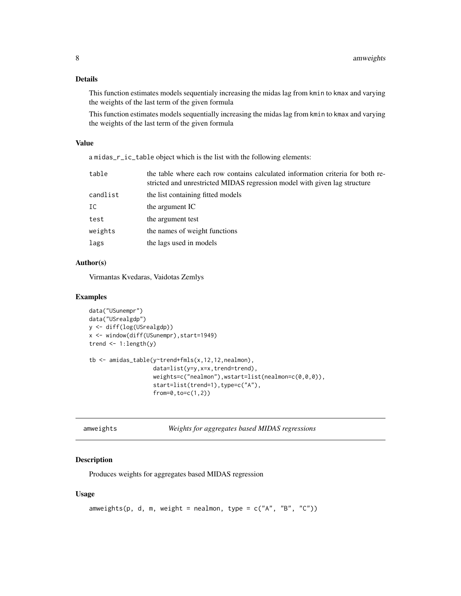#### <span id="page-7-0"></span>Details

This function estimates models sequentialy increasing the midas lag from kmin to kmax and varying the weights of the last term of the given formula

This function estimates models sequentially increasing the midas lag from kmin to kmax and varying the weights of the last term of the given formula

#### Value

a midas\_r\_ic\_table object which is the list with the following elements:

| table    | the table where each row contains calculated information criteria for both re-<br>stricted and unrestricted MIDAS regression model with given lag structure |
|----------|-------------------------------------------------------------------------------------------------------------------------------------------------------------|
| candlist | the list containing fitted models                                                                                                                           |
| IC       | the argument IC                                                                                                                                             |
| test     | the argument test                                                                                                                                           |
| weights  | the names of weight functions                                                                                                                               |
| lags     | the lags used in models                                                                                                                                     |
|          |                                                                                                                                                             |

### Author(s)

Virmantas Kvedaras, Vaidotas Zemlys

#### Examples

```
data("USunempr")
data("USrealgdp")
y <- diff(log(USrealgdp))
x <- window(diff(USunempr),start=1949)
trend \leq -1: length(y)
tb <- amidas_table(y~trend+fmls(x,12,12,nealmon),
                   data=list(y=y,x=x,trend=trend),
                   weights=c("nealmon"),wstart=list(nealmon=c(0,0,0)),
                   start=list(trend=1),type=c("A"),
                   from=0,to=c(1,2))
```
<span id="page-7-1"></span>

| amweights |  |  |
|-----------|--|--|
|           |  |  |
|           |  |  |
|           |  |  |

Weights for aggregates based MIDAS regressions

### Description

Produces weights for aggregates based MIDAS regression

#### Usage

```
amweights(p, d, m, weight = nealmon, type = c("A", "B", "C"))
```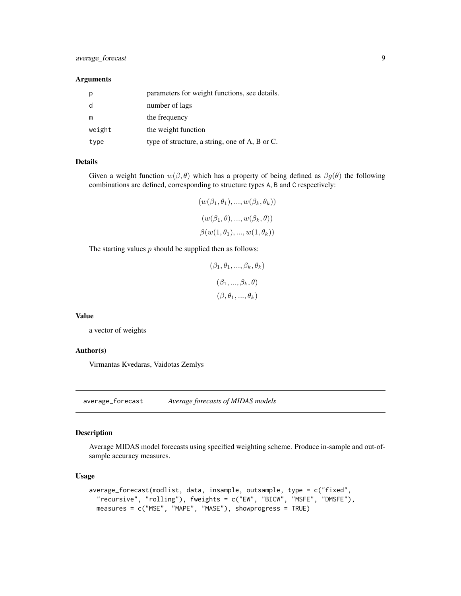### <span id="page-8-0"></span>average\_forecast 9

#### Arguments

| p      | parameters for weight functions, see details.  |
|--------|------------------------------------------------|
|        | number of lags                                 |
| m      | the frequency                                  |
| weight | the weight function                            |
| type   | type of structure, a string, one of A, B or C. |

#### Details

Given a weight function  $w(\beta, \theta)$  which has a property of being defined as  $\beta g(\theta)$  the following combinations are defined, corresponding to structure types A, B and C respectively:

$$
(w(\beta_1, \theta_1), ..., w(\beta_k, \theta_k))
$$
  

$$
(w(\beta_1, \theta), ..., w(\beta_k, \theta))
$$
  

$$
\beta(w(1, \theta_1), ..., w(1, \theta_k))
$$

The starting values  $p$  should be supplied then as follows:

$$
(\beta_1, \theta_1, ..., \beta_k, \theta_k)
$$

$$
(\beta_1, ..., \beta_k, \theta)
$$

$$
(\beta, \theta_1, ..., \theta_k)
$$

#### Value

a vector of weights

#### Author(s)

Virmantas Kvedaras, Vaidotas Zemlys

average\_forecast *Average forecasts of MIDAS models*

#### Description

Average MIDAS model forecasts using specified weighting scheme. Produce in-sample and out-ofsample accuracy measures.

#### Usage

```
average_forecast(modlist, data, insample, outsample, type = c("fixed",
  "recursive", "rolling"), fweights = c("EW", "BICW", "MSFE", "DMSFE"),
 measures = c("MSE", "MAPE", "MASE"), showprogress = TRUE)
```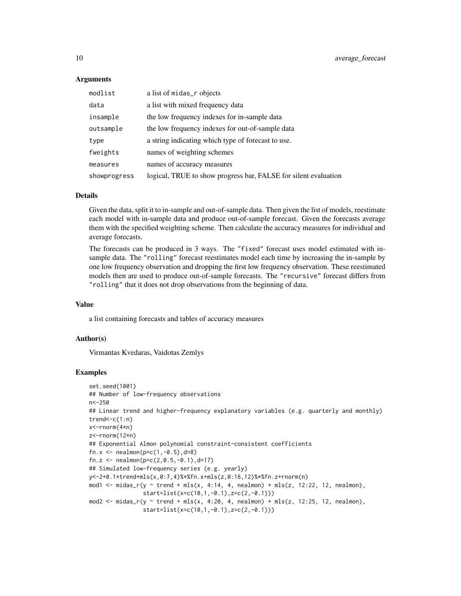#### Arguments

| modlist      | a list of midas_r objects                                       |
|--------------|-----------------------------------------------------------------|
| data         | a list with mixed frequency data                                |
| insample     | the low frequency indexes for in-sample data                    |
| outsample    | the low frequency indexes for out-of-sample data                |
| type         | a string indicating which type of forecast to use.              |
| fweights     | names of weighting schemes                                      |
| measures     | names of accuracy measures                                      |
| showprogress | logical, TRUE to show progress bar, FALSE for silent evaluation |

#### Details

Given the data, split it to in-sample and out-of-sample data. Then given the list of models, reestimate each model with in-sample data and produce out-of-sample forecast. Given the forecasts average them with the specified weighting scheme. Then calculate the accuracy measures for individual and average forecasts.

The forecasts can be produced in 3 ways. The "fixed" forecast uses model estimated with insample data. The "rolling" forecast reestimates model each time by increasing the in-sample by one low frequency observation and dropping the first low frequency observation. These reestimated models then are used to produce out-of-sample forecasts. The "recursive" forecast differs from "rolling" that it does not drop observations from the beginning of data.

#### Value

a list containing forecasts and tables of accuracy measures

#### Author(s)

Virmantas Kvedaras, Vaidotas Zemlys

```
set.seed(1001)
## Number of low-frequency observations
n<-250
## Linear trend and higher-frequency explanatory variables (e.g. quarterly and monthly)
trend<-c(1:n)x<-rnorm(4*n)
z<-rnorm(12*n)
## Exponential Almon polynomial constraint-consistent coefficients
fn.x \leq nealmon(p=c(1,-0.5),d=8)
fn.z <- nealmon(p=c(2, 0.5, -0.1), d=17)## Simulated low-frequency series (e.g. yearly)
y<-2+0.1*trend+mls(x,0:7,4)%*%fn.x+mls(z,0:16,12)%*%fn.z+rnorm(n)
mod1 <- midas_r(y \sim trend + mls(x, 4:14, 4, nealmon) + mls(z, 12:22, 12, nealmon),
                start=list(x=c(10,1,-0.1),z=c(2,-0.1)))
mod2 <- midas_r(y ~ trend + mls(x, 4:20, 4, nealmon) + mls(z, 12:25, 12, nealmon),
                start=list(x=c(10,1,-0.1),z=c(2,-0.1)))
```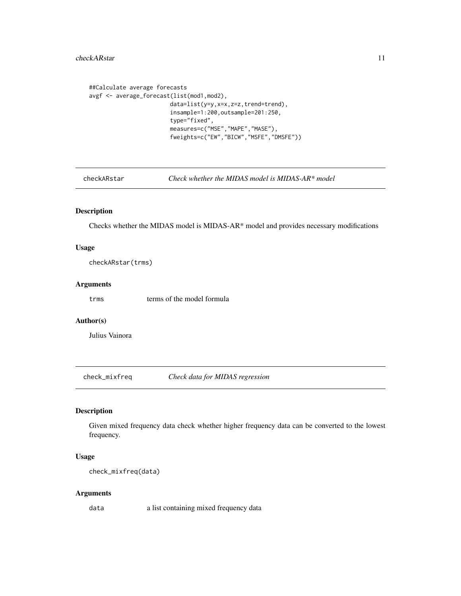```
##Calculate average forecasts
avgf <- average_forecast(list(mod1,mod2),
                       data=list(y=y,x=x,z=z,trend=trend),
                        insample=1:200,outsample=201:250,
                        type="fixed",
                        measures=c("MSE","MAPE","MASE"),
                        fweights=c("EW","BICW","MSFE","DMSFE"))
```
<span id="page-10-1"></span>checkARstar *Check whether the MIDAS model is MIDAS-AR\* model*

### Description

Checks whether the MIDAS model is MIDAS-AR\* model and provides necessary modifications

#### Usage

checkARstar(trms)

#### Arguments

trms terms of the model formula

### Author(s)

Julius Vainora

check\_mixfreq *Check data for MIDAS regression*

### Description

Given mixed frequency data check whether higher frequency data can be converted to the lowest frequency.

#### Usage

check\_mixfreq(data)

#### Arguments

data a list containing mixed frequency data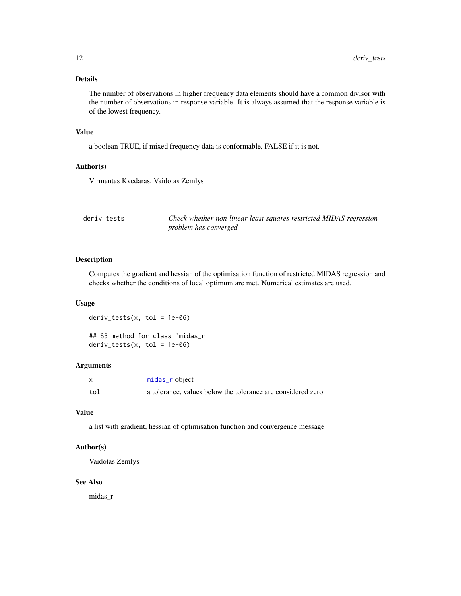#### <span id="page-11-0"></span>Details

The number of observations in higher frequency data elements should have a common divisor with the number of observations in response variable. It is always assumed that the response variable is of the lowest frequency.

#### Value

a boolean TRUE, if mixed frequency data is conformable, FALSE if it is not.

#### Author(s)

Virmantas Kvedaras, Vaidotas Zemlys

| deriv tests | Check whether non-linear least squares restricted MIDAS regression |
|-------------|--------------------------------------------------------------------|
|             | problem has converged                                              |

### Description

Computes the gradient and hessian of the optimisation function of restricted MIDAS regression and checks whether the conditions of local optimum are met. Numerical estimates are used.

#### Usage

 $deriv\_tests(x, tol = 1e-06)$ 

## S3 method for class 'midas\_r'  $deriv\_tests(x, tol = 1e-06)$ 

### Arguments

|     | midas_r object                                              |
|-----|-------------------------------------------------------------|
| tol | a tolerance, values below the tolerance are considered zero |

#### Value

a list with gradient, hessian of optimisation function and convergence message

#### Author(s)

Vaidotas Zemlys

#### See Also

midas\_r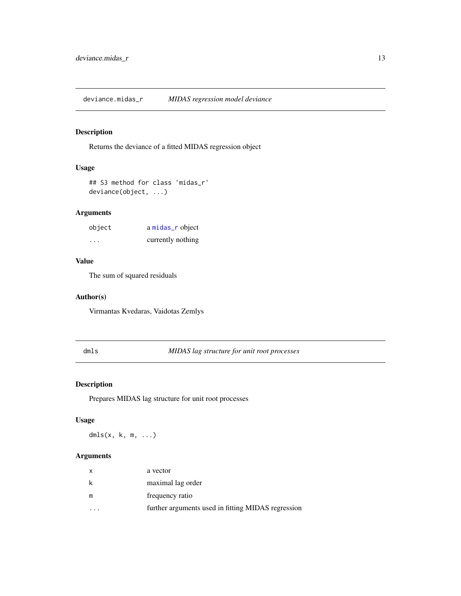<span id="page-12-0"></span>deviance.midas\_r *MIDAS regression model deviance*

### Description

Returns the deviance of a fitted MIDAS regression object

#### Usage

```
## S3 method for class 'midas_r'
deviance(object, ...)
```
### Arguments

| object   | a midas_r object  |
|----------|-------------------|
| $\cdots$ | currently nothing |

### Value

The sum of squared residuals

#### Author(s)

Virmantas Kvedaras, Vaidotas Zemlys

### dmls *MIDAS lag structure for unit root processes*

### Description

Prepares MIDAS lag structure for unit root processes

### Usage

dmls $(x, k, m, \ldots)$ 

### Arguments

| X | a vector                                           |
|---|----------------------------------------------------|
|   | maximal lag order                                  |
| m | frequency ratio                                    |
|   | further arguments used in fitting MIDAS regression |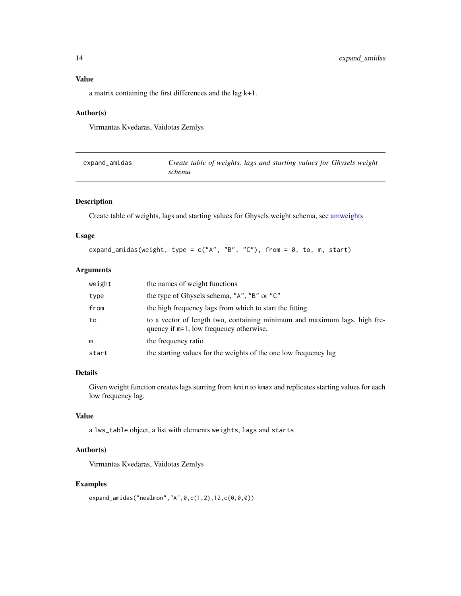### <span id="page-13-0"></span>Value

a matrix containing the first differences and the lag k+1.

### Author(s)

Virmantas Kvedaras, Vaidotas Zemlys

| expand_amidas | Create table of weights, lags and starting values for Ghysels weight |
|---------------|----------------------------------------------------------------------|
|               | schema                                                               |

### Description

Create table of weights, lags and starting values for Ghysels weight schema, see [amweights](#page-7-1)

### Usage

expand\_amidas(weight, type =  $c("A", "B", "C")$ , from = 0, to, m, start)

#### Arguments

| weight | the names of weight functions                                                                                           |
|--------|-------------------------------------------------------------------------------------------------------------------------|
| type   | the type of Ghysels schema, "A", "B" or "C"                                                                             |
| from   | the high frequency lags from which to start the fitting                                                                 |
| to     | to a vector of length two, containing minimum and maximum lags, high fre-<br>quency if $m=1$ , low frequency otherwise. |
| m      | the frequency ratio                                                                                                     |
| start  | the starting values for the weights of the one low frequency lag                                                        |

### Details

Given weight function creates lags starting from kmin to kmax and replicates starting values for each low frequency lag.

### Value

a lws\_table object, a list with elements weights, lags and starts

### Author(s)

Virmantas Kvedaras, Vaidotas Zemlys

### Examples

expand\_amidas("nealmon","A",0,c(1,2),12,c(0,0,0))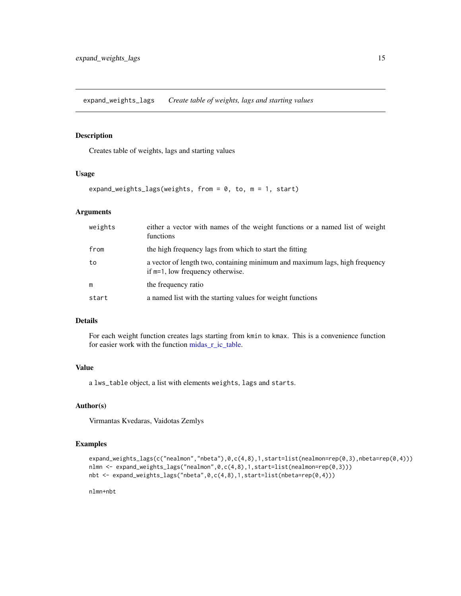<span id="page-14-1"></span><span id="page-14-0"></span>expand\_weights\_lags *Create table of weights, lags and starting values*

### Description

Creates table of weights, lags and starting values

#### Usage

```
expand_weights_lags(weights, from = 0, to, m = 1, start)
```
### Arguments

| weights | either a vector with names of the weight functions or a named list of weight<br>functions                       |
|---------|-----------------------------------------------------------------------------------------------------------------|
| from    | the high frequency lags from which to start the fitting                                                         |
| to      | a vector of length two, containing minimum and maximum lags, high frequency<br>if m=1, low frequency otherwise. |
| m       | the frequency ratio                                                                                             |
| start   | a named list with the starting values for weight functions                                                      |

#### Details

For each weight function creates lags starting from kmin to kmax. This is a convenience function for easier work with the function [midas\\_r\\_ic\\_table.](#page-39-1)

### Value

a lws\_table object, a list with elements weights, lags and starts.

### Author(s)

Virmantas Kvedaras, Vaidotas Zemlys

#### Examples

```
expand_weights_lags(c("nealmon","nbeta"),0,c(4,8),1,start=list(nealmon=rep(0,3),nbeta=rep(0,4)))
nlmn <- expand_weights_lags("nealmon",0,c(4,8),1,start=list(nealmon=rep(0,3)))
nbt <- expand_weights_lags("nbeta",0,c(4,8),1,start=list(nbeta=rep(0,4)))
```
nlmn+nbt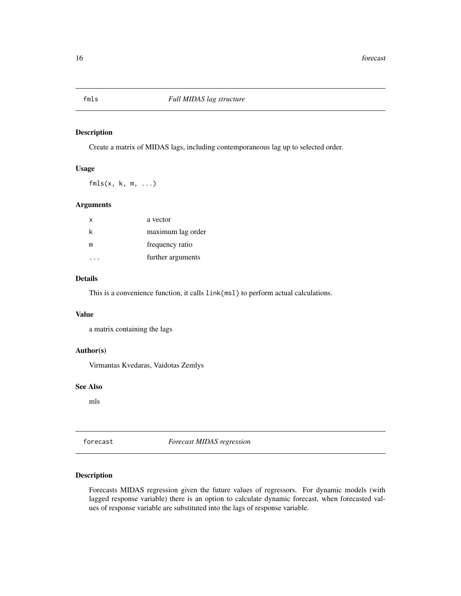<span id="page-15-1"></span><span id="page-15-0"></span>

Create a matrix of MIDAS lags, including contemporaneous lag up to selected order.

#### Usage

 $fmls(x, k, m, ...)$ 

### Arguments

| x | a vector          |
|---|-------------------|
| k | maximum lag order |
| m | frequency ratio   |
|   | further arguments |
|   |                   |

### Details

This is a convenience function, it calls link{msl} to perform actual calculations.

### Value

a matrix containing the lags

#### Author(s)

Virmantas Kvedaras, Vaidotas Zemlys

#### See Also

mls

forecast *Forecast MIDAS regression*

#### <span id="page-15-2"></span>Description

Forecasts MIDAS regression given the future values of regressors. For dynamic models (with lagged response variable) there is an option to calculate dynamic forecast, when forecasted values of response variable are substituted into the lags of response variable.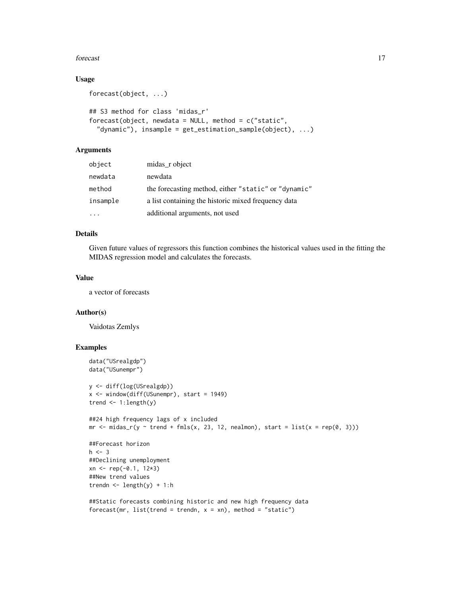#### forecast 17

### Usage

```
forecast(object, ...)
## S3 method for class 'midas_r'
forecast(object, newdata = NULL, method = c("static","dynamic"), insample = get_estimation_sample(object), ...)
```
### Arguments

| object   | midas_r object                                       |
|----------|------------------------------------------------------|
| newdata  | newdata                                              |
| method   | the forecasting method, either "static" or "dynamic" |
| insample | a list containing the historic mixed frequency data  |
|          | additional arguments, not used                       |

#### Details

Given future values of regressors this function combines the historical values used in the fitting the MIDAS regression model and calculates the forecasts.

### Value

a vector of forecasts

#### Author(s)

Vaidotas Zemlys

### Examples

```
data("USrealgdp")
data("USunempr")
y <- diff(log(USrealgdp))
x <- window(diff(USunempr), start = 1949)
trend <- 1:length(y)
##24 high frequency lags of x included
mr \le - midas_r(y \sim trend + fmls(x, 23, 12, melanon), start = list(x = rep(0, 3)))##Forecast horizon
h < -3##Declining unemployment
xn < - rep(-0.1, 12*3)##New trend values
trendn \leq length(y) + 1:h
##Static forecasts combining historic and new high frequency data
```
forecast(mr, list(trend = trendn,  $x = xn$ ), method = "static")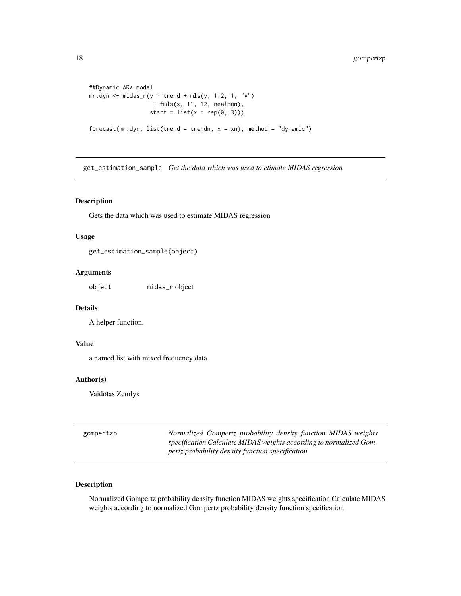```
##Dynamic AR* model
mr.dyn \leftarrow midas_r(y \sim trend + mls(y, 1:2, 1, "**")+ fmls(x, 11, 12, nealmon),
                   start = list(x = rep(0, 3)))forecast(mr.dyn, list(trend = trendn, x = xn), method = "dynamic")
```
get\_estimation\_sample *Get the data which was used to etimate MIDAS regression*

#### Description

Gets the data which was used to estimate MIDAS regression

### Usage

get\_estimation\_sample(object)

### Arguments

object midas\_r object

#### Details

A helper function.

#### Value

a named list with mixed frequency data

#### Author(s)

Vaidotas Zemlys

| gompertzp | Normalized Gompertz probability density function MIDAS weights     |
|-----------|--------------------------------------------------------------------|
|           | specification Calculate MIDAS weights according to normalized Gom- |
|           | pertz probability density function specification                   |

#### Description

Normalized Gompertz probability density function MIDAS weights specification Calculate MIDAS weights according to normalized Gompertz probability density function specification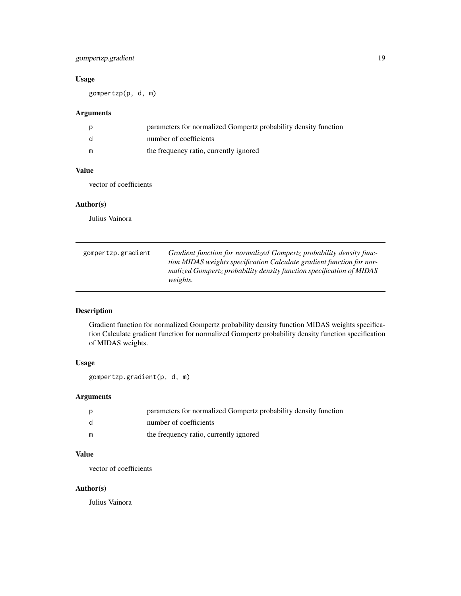### <span id="page-18-0"></span>gompertzp.gradient 19

#### Usage

gompertzp(p, d, m)

### Arguments

| p            | parameters for normalized Gompertz probability density function |
|--------------|-----------------------------------------------------------------|
| <sub>d</sub> | number of coefficients                                          |
| m            | the frequency ratio, currently ignored                          |

### Value

vector of coefficients

#### Author(s)

Julius Vainora

| gompertzp.gradient | Gradient function for normalized Gompertz probability density func-   |
|--------------------|-----------------------------------------------------------------------|
|                    | tion MIDAS weights specification Calculate gradient function for nor- |
|                    | malized Gompertz probability density function specification of MIDAS  |
|                    | <i>weights.</i>                                                       |

### Description

Gradient function for normalized Gompertz probability density function MIDAS weights specification Calculate gradient function for normalized Gompertz probability density function specification of MIDAS weights.

### Usage

gompertzp.gradient(p, d, m)

### Arguments

|              | parameters for normalized Gompertz probability density function |
|--------------|-----------------------------------------------------------------|
| <sub>d</sub> | number of coefficients                                          |
| m            | the frequency ratio, currently ignored                          |

### Value

vector of coefficients

### Author(s)

Julius Vainora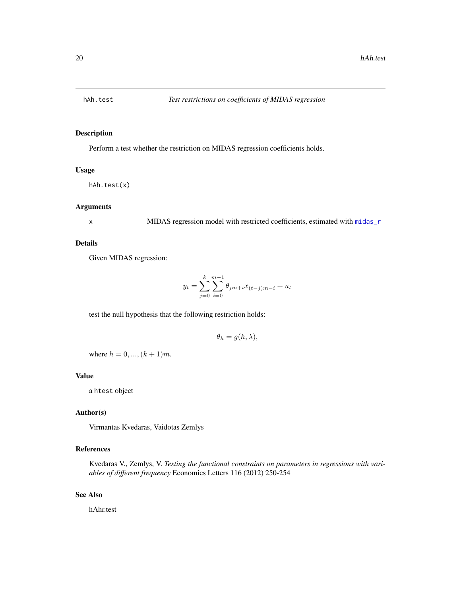<span id="page-19-1"></span><span id="page-19-0"></span>

Perform a test whether the restriction on MIDAS regression coefficients holds.

#### Usage

```
hAh.test(x)
```
### Arguments

x MIDAS regression model with restricted coefficients, estimated with [midas\\_r](#page-34-1)

#### Details

Given MIDAS regression:

$$
y_t = \sum_{j=0}^{k} \sum_{i=0}^{m-1} \theta_{jm+i} x_{(t-j)m-i} + u_t
$$

test the null hypothesis that the following restriction holds:

$$
\theta_h = g(h, \lambda),
$$

where  $h = 0, ..., (k + 1)m$ .

#### Value

a htest object

#### Author(s)

Virmantas Kvedaras, Vaidotas Zemlys

### References

Kvedaras V., Zemlys, V. *Testing the functional constraints on parameters in regressions with variables of different frequency* Economics Letters 116 (2012) 250-254

#### See Also

hAhr.test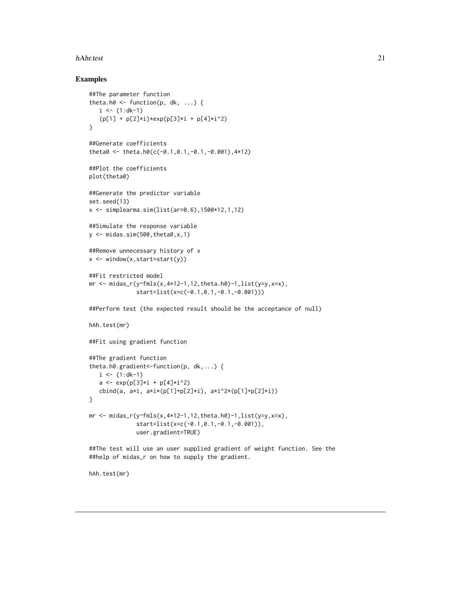#### <span id="page-20-0"></span>hAhr.test 21

#### Examples

<span id="page-20-1"></span>hAh.test(mr)

```
##The parameter function
theta.h0 \leq function(p, dk, ...) {
   i \leq (1:d-1)(p[1] + p[2]*i)*exp(p[3]*i + p[4]*i^2)}
##Generate coefficients
theta0 <- theta.h0(c(-0.1,0.1,-0.1,-0.001),4*12)
##Plot the coefficients
plot(theta0)
##Generate the predictor variable
set.seed(13)
x <- simplearma.sim(list(ar=0.6),1500*12,1,12)
##Simulate the response variable
y \leftarrow midas.sim(500, theta0, x, 1)
##Remove unnecessary history of x
x \leftarrow window(x, start=start(y))
##Fit restricted model
mr <- midas_r(y~fmls(x,4*12-1,12,theta.h0)-1,list(y=y,x=x),
              start=list(x=c(-0.1,0.1,-0.1,-0.001)))
##Perform test (the expected result should be the acceptance of null)
hAh.test(mr)
##Fit using gradient function
##The gradient function
theta.h0.gradient<-function(p, dk,...) {
   i \leq (1:d-1)a \leftarrow \exp(p[3] \star i + p[4] \star i^2)cbind(a, a*i, a*i*(p[1]+p[2]*i), a*i^2*(p[1]+p[2]*i))
}
mr <- midas_r(y~fmls(x,4*12-1,12,theta.h0)-1,list(y=y,x=x),
              start=list(x=c(-0.1,0.1,-0.1,-0.001)),
              user.gradient=TRUE)
##The test will use an user supplied gradient of weight function. See the
##help of midas_r on how to supply the gradient.
```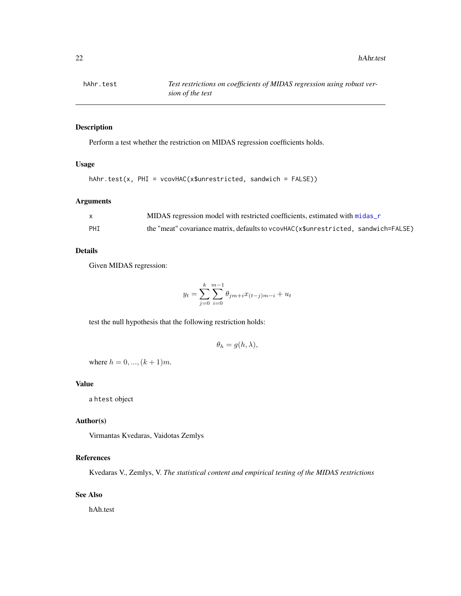<span id="page-21-0"></span>

Perform a test whether the restriction on MIDAS regression coefficients holds.

### Usage

```
hAhr.test(x, PHI = vcovHAC(x$unrestricted, sandwich = FALSE))
```
### Arguments

| $\mathbf{x}$ | MIDAS regression model with restricted coefficients, estimated with midas r        |
|--------------|------------------------------------------------------------------------------------|
| PHI          | the "meat" covariance matrix, defaults to vcovHAC(x\$unrestricted, sandwich=FALSE) |

#### Details

Given MIDAS regression:

$$
y_t = \sum_{j=0}^{k} \sum_{i=0}^{m-1} \theta_{jm+i} x_{(t-j)m-i} + u_t
$$

test the null hypothesis that the following restriction holds:

$$
\theta_h = g(h, \lambda),
$$

where  $h = 0, ..., (k + 1)m$ .

#### Value

a htest object

#### Author(s)

Virmantas Kvedaras, Vaidotas Zemlys

#### References

Kvedaras V., Zemlys, V. *The statistical content and empirical testing of the MIDAS restrictions*

### See Also

hAh.test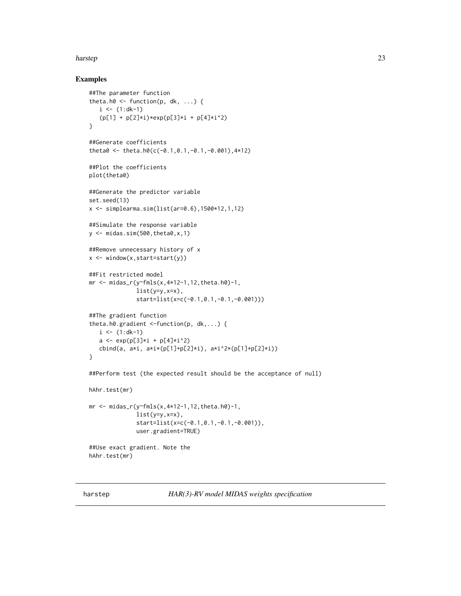#### <span id="page-22-0"></span>harstep 23

```
##The parameter function
theta.h0 \leq function(p, dk, ...) {
   i \leq (1:d-1)(p[1] + p[2]*i)*exp(p[3]*i + p[4]*i^2)}
##Generate coefficients
theta0 <- theta.h0(c(-0.1,0.1,-0.1,-0.001),4*12)
##Plot the coefficients
plot(theta0)
##Generate the predictor variable
set.seed(13)
x \le - simplearma.sim(list(ar=0.6),1500*12,1,12)
##Simulate the response variable
y \leftarrow midas.sim(500, theta0, x, 1)
##Remove unnecessary history of x
x \leftarrow window(x, start=start(y))
##Fit restricted model
mr <- midas_r(y~fmls(x,4*12-1,12,theta.h0)-1,
              list(y=y,x=x),
              start=list(x=c(-0.1,0.1,-0.1,-0.001)))
##The gradient function
theta.h0.gradient <-function(p, dk,...) {
   i \leq (1:d-1)a \leftarrow \exp(p[3] \times i + p[4] \times i^2)cbind(a, a*i, a*i*(p[1]+p[2]*i), a*i^2*(p[1]+p[2]*i))
}
##Perform test (the expected result should be the acceptance of null)
hAhr.test(mr)
mr <- midas_r(y~fmls(x,4*12-1,12,theta.h0)-1,
              list(y=y,x=x),
              start=list(x=c(-0.1,0.1,-0.1,-0.001)),
              user.gradient=TRUE)
##Use exact gradient. Note the
hAhr.test(mr)
```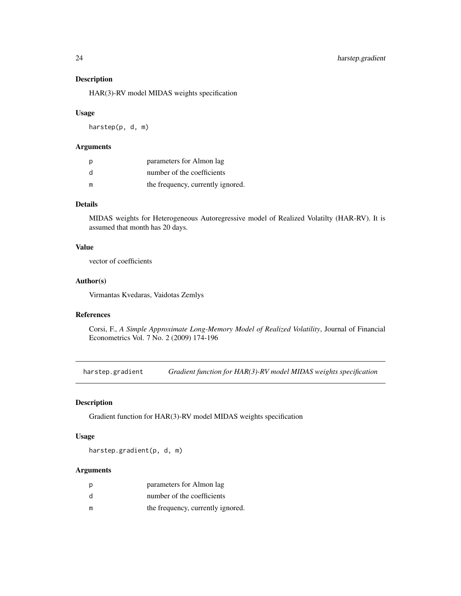HAR(3)-RV model MIDAS weights specification

#### Usage

harstep(p, d, m)

### Arguments

| p | parameters for Almon lag          |
|---|-----------------------------------|
| d | number of the coefficients        |
| m | the frequency, currently ignored. |

### Details

MIDAS weights for Heterogeneous Autoregressive model of Realized Volatilty (HAR-RV). It is assumed that month has 20 days.

#### Value

vector of coefficients

### Author(s)

Virmantas Kvedaras, Vaidotas Zemlys

### References

Corsi, F., *A Simple Approximate Long-Memory Model of Realized Volatility*, Journal of Financial Econometrics Vol. 7 No. 2 (2009) 174-196

harstep.gradient *Gradient function for HAR(3)-RV model MIDAS weights specification*

### Description

Gradient function for HAR(3)-RV model MIDAS weights specification

#### Usage

harstep.gradient(p, d, m)

#### Arguments

| p | parameters for Almon lag          |
|---|-----------------------------------|
| d | number of the coefficients        |
| m | the frequency, currently ignored. |

<span id="page-23-0"></span>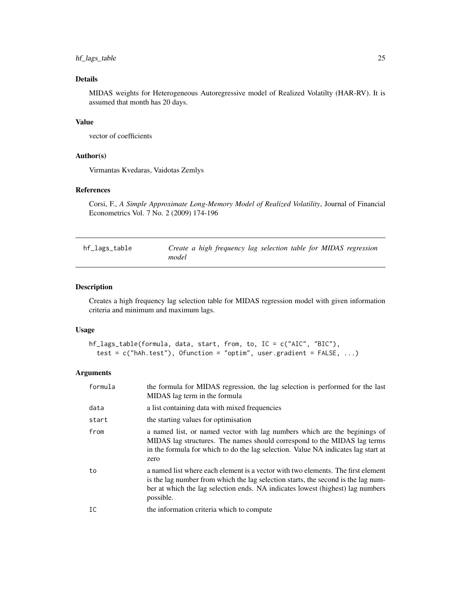### <span id="page-24-0"></span>hf\_lags\_table 25

### Details

MIDAS weights for Heterogeneous Autoregressive model of Realized Volatilty (HAR-RV). It is assumed that month has 20 days.

#### Value

vector of coefficients

#### Author(s)

Virmantas Kvedaras, Vaidotas Zemlys

### References

Corsi, F., *A Simple Approximate Long-Memory Model of Realized Volatility*, Journal of Financial Econometrics Vol. 7 No. 2 (2009) 174-196

<span id="page-24-1"></span>

| hf_lags_table | Create a high frequency lag selection table for MIDAS regression |  |
|---------------|------------------------------------------------------------------|--|
|               | model                                                            |  |

### Description

Creates a high frequency lag selection table for MIDAS regression model with given information criteria and minimum and maximum lags.

#### Usage

```
hf_lags_table(formula, data, start, from, to, IC = c("AIC", "BIC"),
  test = c("hAh.test"), Ofunction = "optim", user.gradient = FALSE, ...)
```
#### Arguments

| formula | the formula for MIDAS regression, the lag selection is performed for the last<br>MIDAS lag term in the formula                                                                                                                                                       |
|---------|----------------------------------------------------------------------------------------------------------------------------------------------------------------------------------------------------------------------------------------------------------------------|
| data    | a list containing data with mixed frequencies                                                                                                                                                                                                                        |
| start   | the starting values for optimisation                                                                                                                                                                                                                                 |
| from    | a named list, or named vector with lag numbers which are the beginings of<br>MIDAS lag structures. The names should correspond to the MIDAS lag terms<br>in the formula for which to do the lag selection. Value NA indicates lag start at<br>zero                   |
| to      | a named list where each element is a vector with two elements. The first element<br>is the lag number from which the lag selection starts, the second is the lag num-<br>ber at which the lag selection ends. NA indicates lowest (highest) lag numbers<br>possible. |
| IC      | the information criteria which to compute                                                                                                                                                                                                                            |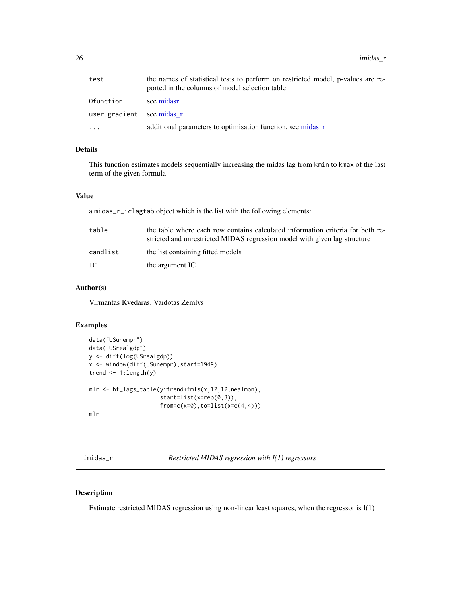<span id="page-25-0"></span> $26$  imidas\_ $r$ 

| test                      | the names of statistical tests to perform on restricted model, p-values are re-<br>ported in the columns of model selection table |
|---------------------------|-----------------------------------------------------------------------------------------------------------------------------------|
| Ofunction                 | see midasr                                                                                                                        |
| user.gradient see midas r |                                                                                                                                   |
| $\ddotsc$                 | additional parameters to optimisation function, see midas_r                                                                       |

### Details

This function estimates models sequentially increasing the midas lag from kmin to kmax of the last term of the given formula

#### Value

a midas\_r\_iclagtab object which is the list with the following elements:

| table    | the table where each row contains calculated information criteria for both re-<br>stricted and unrestricted MIDAS regression model with given lag structure |
|----------|-------------------------------------------------------------------------------------------------------------------------------------------------------------|
| candlist | the list containing fitted models                                                                                                                           |
| IC       | the argument IC                                                                                                                                             |

#### Author(s)

Virmantas Kvedaras, Vaidotas Zemlys

#### Examples

```
data("USunempr")
data("USrealgdp")
y <- diff(log(USrealgdp))
x <- window(diff(USunempr),start=1949)
trend <- 1:length(y)
mlr <- hf_lags_table(y~trend+fmls(x,12,12,nealmon),
                     start=list(x=rep(0,3)),
                     from=c(x=0),to=list(x=c(4,4)))mlr
```
imidas\_r *Restricted MIDAS regression with I(1) regressors*

#### Description

Estimate restricted MIDAS regression using non-linear least squares, when the regressor is I(1)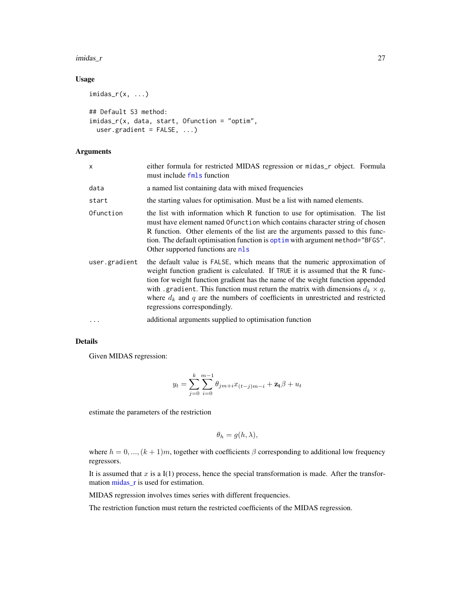#### <span id="page-26-0"></span>imidas\_r 27

### Usage

```
imidas_r(x, \ldots)## Default S3 method:
imidas_r(x, data, start, Ofunction = "optim",
 user.gradient = FALSE, ...)
```
### Arguments

| X             | either formula for restricted MIDAS regression or midas_r object. Formula<br>must include fmls function                                                                                                                                                                                                                                                                                                                                                    |  |
|---------------|------------------------------------------------------------------------------------------------------------------------------------------------------------------------------------------------------------------------------------------------------------------------------------------------------------------------------------------------------------------------------------------------------------------------------------------------------------|--|
| data          | a named list containing data with mixed frequencies                                                                                                                                                                                                                                                                                                                                                                                                        |  |
| start         | the starting values for optimisation. Must be a list with named elements.                                                                                                                                                                                                                                                                                                                                                                                  |  |
| Ofunction     | the list with information which R function to use for optimisation. The list<br>must have element named Of unction which contains character string of chosen<br>R function. Other elements of the list are the arguments passed to this func-<br>tion. The default optimisation function is optim with argument method="BFGS".<br>Other supported functions are nls                                                                                        |  |
| user.gradient | the default value is FALSE, which means that the numeric approximation of<br>weight function gradient is calculated. If TRUE it is assumed that the R func-<br>tion for weight function gradient has the name of the weight function appended<br>with .gradient. This function must return the matrix with dimensions $d_k \times q$ ,<br>where $d_k$ and q are the numbers of coefficients in unrestricted and restricted<br>regressions correspondingly. |  |
|               | additional arguments supplied to optimisation function                                                                                                                                                                                                                                                                                                                                                                                                     |  |
|               |                                                                                                                                                                                                                                                                                                                                                                                                                                                            |  |

### Details

Given MIDAS regression:

$$
y_t = \sum_{j=0}^{k} \sum_{i=0}^{m-1} \theta_{jm+i} x_{(t-j)m-i} + \mathbf{z_t} \beta + u_t
$$

estimate the parameters of the restriction

$$
\theta_h = g(h, \lambda),
$$

where  $h = 0, ..., (k + 1)m$ , together with coefficients  $\beta$  corresponding to additional low frequency regressors.

It is assumed that  $x$  is a I(1) process, hence the special transformation is made. After the transformation [midas\\_r](#page-34-1) is used for estimation.

MIDAS regression involves times series with different frequencies.

The restriction function must return the restricted coefficients of the MIDAS regression.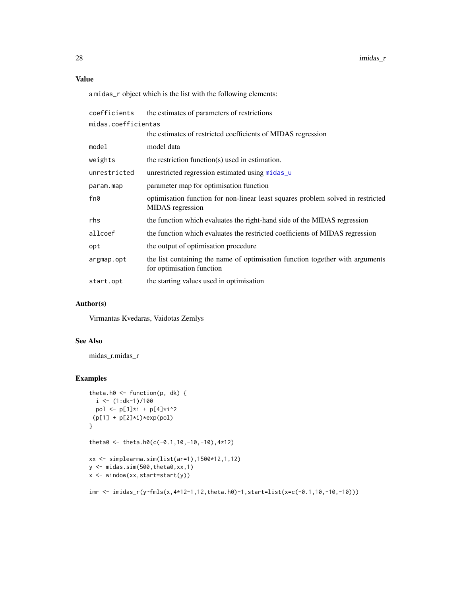### <span id="page-27-0"></span>Value

a midas\_r object which is the list with the following elements:

| coefficients        | the estimates of parameters of restrictions                                                                |  |
|---------------------|------------------------------------------------------------------------------------------------------------|--|
| midas.coefficientas |                                                                                                            |  |
|                     | the estimates of restricted coefficients of MIDAS regression                                               |  |
| model               | model data                                                                                                 |  |
| weights             | the restriction function( $s$ ) used in estimation.                                                        |  |
| unrestricted        | unrestricted regression estimated using midas_u                                                            |  |
| param.map           | parameter map for optimisation function                                                                    |  |
| fn0                 | optimisation function for non-linear least squares problem solved in restricted<br>MIDAS regression        |  |
| rhs                 | the function which evaluates the right-hand side of the MIDAS regression                                   |  |
| allcoef             | the function which evaluates the restricted coefficients of MIDAS regression                               |  |
| opt                 | the output of optimisation procedure                                                                       |  |
| argmap.opt          | the list containing the name of optimisation function together with arguments<br>for optimisation function |  |
| start.opt           | the starting values used in optimisation                                                                   |  |

#### Author(s)

Virmantas Kvedaras, Vaidotas Zemlys

### See Also

midas\_r.midas\_r

#### Examples

```
theta.h0 <- function(p, dk) {
  i \leq (1:d-1)/100pol <- p[3]*i + p[4]*i^2
 (p[1] + p[2]*i)*exp(pol)}
theta0 <- theta.h0(c(-0.1,10,-10,-10),4*12)
xx <- simplearma.sim(list(ar=1),1500*12,1,12)
y <- midas.sim(500,theta0,xx,1)
x <- window(xx,start=start(y))
```
imr <- imidas\_r(y~fmls(x,4\*12-1,12,theta.h0)-1,start=list(x=c(-0.1,10,-10,-10)))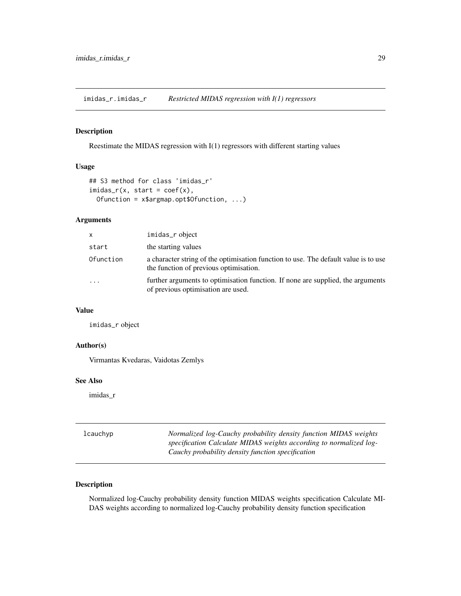<span id="page-28-0"></span>imidas\_r.imidas\_r *Restricted MIDAS regression with I(1) regressors*

#### Description

Reestimate the MIDAS regression with I(1) regressors with different starting values

#### Usage

```
## S3 method for class 'imidas_r'
imidas_r(x, start = coef(x),Ofunction = x$argmap.opt$Ofunction, ...)
```
### Arguments

| x         | imidas_r object                                                                                                               |
|-----------|-------------------------------------------------------------------------------------------------------------------------------|
| start     | the starting values                                                                                                           |
| Ofunction | a character string of the optimisation function to use. The default value is to use<br>the function of previous optimisation. |
| $\cdots$  | further arguments to optimisation function. If none are supplied, the arguments<br>of previous optimisation are used.         |

### Value

imidas\_r object

#### Author(s)

Virmantas Kvedaras, Vaidotas Zemlys

#### See Also

imidas\_r

| lcauchyp | Normalized log-Cauchy probability density function MIDAS weights   |
|----------|--------------------------------------------------------------------|
|          | specification Calculate MIDAS weights according to normalized log- |
|          | Cauchy probability density function specification                  |

### Description

Normalized log-Cauchy probability density function MIDAS weights specification Calculate MI-DAS weights according to normalized log-Cauchy probability density function specification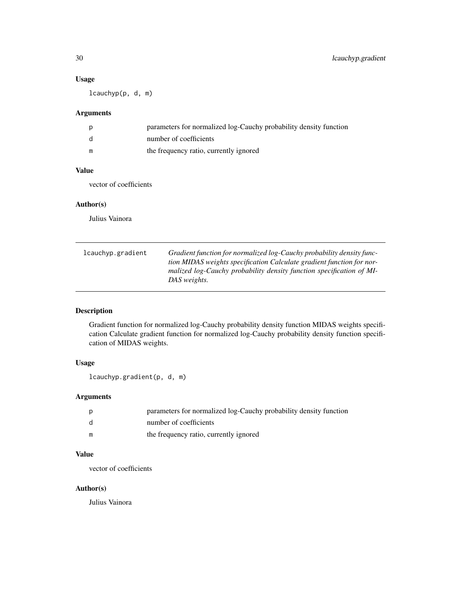### <span id="page-29-0"></span>Usage

lcauchyp(p, d, m)

### Arguments

| p  | parameters for normalized log-Cauchy probability density function |
|----|-------------------------------------------------------------------|
| -d | number of coefficients                                            |
| m  | the frequency ratio, currently ignored                            |

### Value

vector of coefficients

#### Author(s)

Julius Vainora

| lcauchyp.gradient | Gradient function for normalized log-Cauchy probability density func- |
|-------------------|-----------------------------------------------------------------------|
|                   | tion MIDAS weights specification Calculate gradient function for nor- |
|                   | malized log-Cauchy probability density function specification of MI-  |
|                   | DAS weights.                                                          |

### Description

Gradient function for normalized log-Cauchy probability density function MIDAS weights specification Calculate gradient function for normalized log-Cauchy probability density function specification of MIDAS weights.

### Usage

lcauchyp.gradient(p, d, m)

### Arguments

| p            | parameters for normalized log-Cauchy probability density function |
|--------------|-------------------------------------------------------------------|
| <sub>d</sub> | number of coefficients                                            |
| m            | the frequency ratio, currently ignored                            |

#### Value

vector of coefficients

### Author(s)

Julius Vainora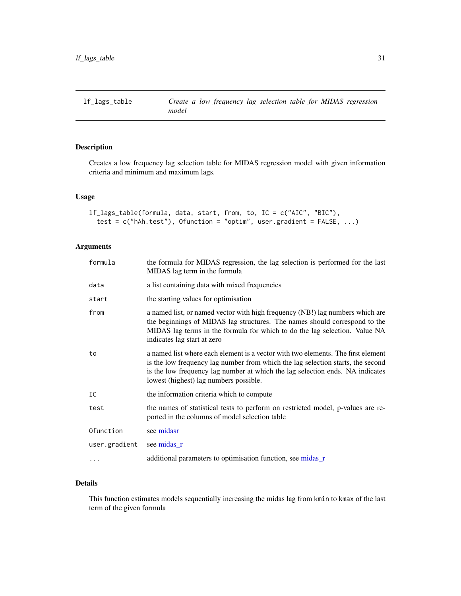<span id="page-30-1"></span><span id="page-30-0"></span>Creates a low frequency lag selection table for MIDAS regression model with given information criteria and minimum and maximum lags.

### Usage

```
lf_lags_table(formula, data, start, from, to, IC = c("AIC", "BIC"),
  test = c("hAh.test"), Ofunction = "optim", user.gradient = FALSE, ...)
```
### Arguments

| the formula for MIDAS regression, the lag selection is performed for the last<br>MIDAS lag term in the formula                                                                                                                                                                                 |
|------------------------------------------------------------------------------------------------------------------------------------------------------------------------------------------------------------------------------------------------------------------------------------------------|
| a list containing data with mixed frequencies                                                                                                                                                                                                                                                  |
| the starting values for optimisation                                                                                                                                                                                                                                                           |
| a named list, or named vector with high frequency (NB!) lag numbers which are<br>the beginnings of MIDAS lag structures. The names should correspond to the<br>MIDAS lag terms in the formula for which to do the lag selection. Value NA<br>indicates lag start at zero                       |
| a named list where each element is a vector with two elements. The first element<br>is the low frequency lag number from which the lag selection starts, the second<br>is the low frequency lag number at which the lag selection ends. NA indicates<br>lowest (highest) lag numbers possible. |
| the information criteria which to compute                                                                                                                                                                                                                                                      |
| the names of statistical tests to perform on restricted model, p-values are re-<br>ported in the columns of model selection table                                                                                                                                                              |
| see midasr                                                                                                                                                                                                                                                                                     |
| see midas_r                                                                                                                                                                                                                                                                                    |
| additional parameters to optimisation function, see midas r                                                                                                                                                                                                                                    |
|                                                                                                                                                                                                                                                                                                |

#### Details

This function estimates models sequentially increasing the midas lag from kmin to kmax of the last term of the given formula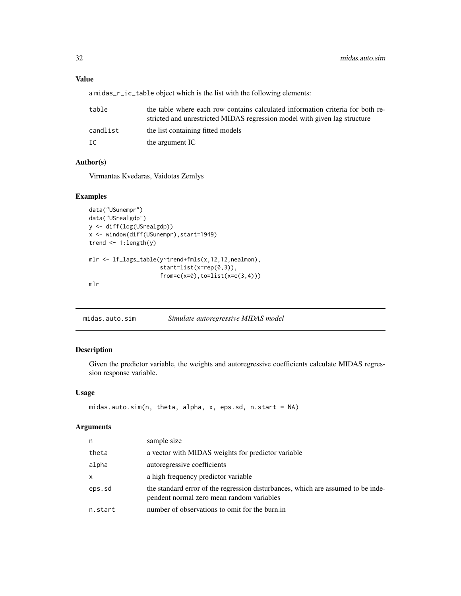### <span id="page-31-0"></span>Value

a midas\_r\_ic\_table object which is the list with the following elements:

| table    | the table where each row contains calculated information criteria for both re-<br>stricted and unrestricted MIDAS regression model with given lag structure |
|----------|-------------------------------------------------------------------------------------------------------------------------------------------------------------|
| candlist | the list containing fitted models                                                                                                                           |
| IC       | the argument IC                                                                                                                                             |

#### Author(s)

Virmantas Kvedaras, Vaidotas Zemlys

#### Examples

```
data("USunempr")
data("USrealgdp")
y <- diff(log(USrealgdp))
x <- window(diff(USunempr),start=1949)
trend \leq -1: length(y)
mlr <- lf_lags_table(y~trend+fmls(x,12,12,nealmon),
                     start=list(x=rep(0,3)),
                     from=c(x=0),to=list(x=c(3,4)))mlr
```
midas.auto.sim *Simulate autoregressive MIDAS model*

#### Description

Given the predictor variable, the weights and autoregressive coefficients calculate MIDAS regression response variable.

### Usage

```
midas.auto.sim(n, theta, alpha, x, eps.sd, n.start = NA)
```
#### Arguments

| n       | sample size                                                                                                                   |
|---------|-------------------------------------------------------------------------------------------------------------------------------|
| theta   | a vector with MIDAS weights for predictor variable                                                                            |
| alpha   | autoregressive coefficients                                                                                                   |
| x       | a high frequency predictor variable                                                                                           |
| eps.sd  | the standard error of the regression disturbances, which are assumed to be inde-<br>pendent normal zero mean random variables |
| n.start | number of observations to omit for the burn.in                                                                                |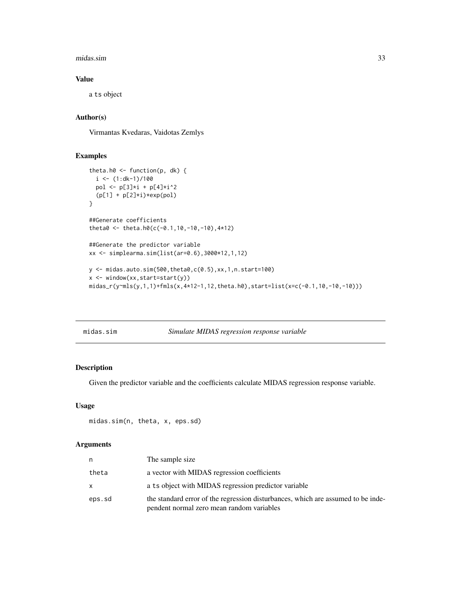#### <span id="page-32-0"></span>midas.sim 33

#### Value

a ts object

#### Author(s)

Virmantas Kvedaras, Vaidotas Zemlys

### Examples

```
theta.h0 \le function(p, dk) {
  i \leq (1:d-1)/100pol <- p[3]*i + p[4]*i^2
  (p[1] + p[2]*i)*exp(pol)}
##Generate coefficients
theta0 <- theta.h0(c(-0.1,10,-10,-10),4*12)
##Generate the predictor variable
xx <- simplearma.sim(list(ar=0.6),3000*12,1,12)
y <- midas.auto.sim(500,theta0,c(0.5),xx,1,n.start=100)
x <- window(xx,start=start(y))
```

```
midas_r(y~mls(y,1,1)+fmls(x,4*12-1,12,theta.h0),start=list(x=c(-0.1,10,-10,-10)))
```
midas.sim *Simulate MIDAS regression response variable*

#### Description

Given the predictor variable and the coefficients calculate MIDAS regression response variable.

#### Usage

```
midas.sim(n, theta, x, eps.sd)
```
#### Arguments

| n      | The sample size                                                                                                               |
|--------|-------------------------------------------------------------------------------------------------------------------------------|
| theta  | a vector with MIDAS regression coefficients                                                                                   |
| x      | a ts object with MIDAS regression predictor variable                                                                          |
| eps.sd | the standard error of the regression disturbances, which are assumed to be inde-<br>pendent normal zero mean random variables |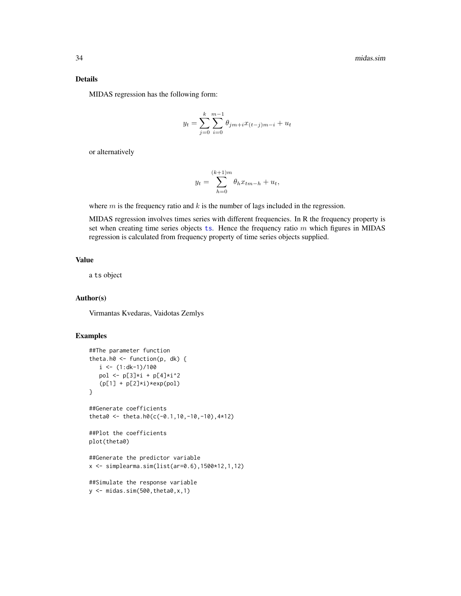#### <span id="page-33-0"></span>Details

MIDAS regression has the following form:

$$
y_t = \sum_{j=0}^{k} \sum_{i=0}^{m-1} \theta_{jm+i} x_{(t-j)m-i} + u_t
$$

or alternatively

$$
y_t = \sum_{h=0}^{(k+1)m} \theta_h x_{tm-h} + u_t,
$$

where  $m$  is the frequency ratio and  $k$  is the number of lags included in the regression.

MIDAS regression involves times series with different frequencies. In R the frequency property is set when creating time series objec[ts](#page-0-0) ts. Hence the frequency ratio  $m$  which figures in MIDAS regression is calculated from frequency property of time series objects supplied.

#### Value

a ts object

#### Author(s)

Virmantas Kvedaras, Vaidotas Zemlys

```
##The parameter function
theta.h0 \leq function(p, dk) {
  i \leq (1:d-1)/100pol <- p[3]*i + p[4]*i^2(p[1] + p[2]*i)*exp(pol)}
##Generate coefficients
theta0 <- theta.h0(c(-0.1,10,-10,-10),4*12)
##Plot the coefficients
plot(theta0)
##Generate the predictor variable
x <- simplearma.sim(list(ar=0.6),1500*12,1,12)
##Simulate the response variable
y \leftarrow midas.sim(500, theta0, x, 1)
```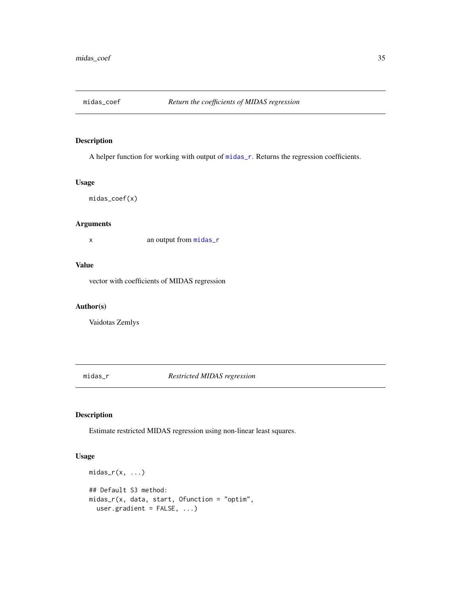<span id="page-34-0"></span>

A helper function for working with output of [midas\\_r](#page-34-1). Returns the regression coefficients.

#### Usage

midas\_coef(x)

#### Arguments

x an output from [midas\\_r](#page-34-1)

### Value

vector with coefficients of MIDAS regression

### Author(s)

Vaidotas Zemlys

<span id="page-34-1"></span>midas\_r *Restricted MIDAS regression*

### Description

Estimate restricted MIDAS regression using non-linear least squares.

#### Usage

```
midas_r(x, \ldots)## Default S3 method:
midas_r(x, data, start, Ofunction = "optim",
 user.gradient = FALSE, ...)
```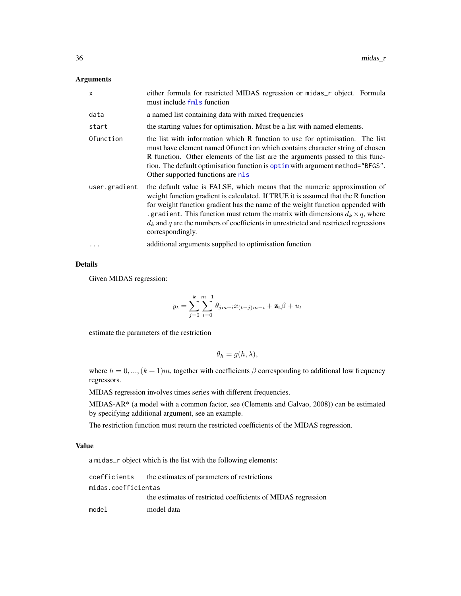#### <span id="page-35-0"></span>Arguments

| $\mathsf{x}$  | either formula for restricted MIDAS regression or midas_r object. Formula<br>must include fmls function                                                                                                                                                                                                                                                                                                                                                 |
|---------------|---------------------------------------------------------------------------------------------------------------------------------------------------------------------------------------------------------------------------------------------------------------------------------------------------------------------------------------------------------------------------------------------------------------------------------------------------------|
| data          | a named list containing data with mixed frequencies                                                                                                                                                                                                                                                                                                                                                                                                     |
| start         | the starting values for optimisation. Must be a list with named elements.                                                                                                                                                                                                                                                                                                                                                                               |
| Ofunction     | the list with information which R function to use for optimisation. The list<br>must have element named Of unction which contains character string of chosen<br>R function. Other elements of the list are the arguments passed to this func-<br>tion. The default optimisation function is optim with argument method="BFGS".<br>Other supported functions are nls                                                                                     |
| user.gradient | the default value is FALSE, which means that the numeric approximation of<br>weight function gradient is calculated. If TRUE it is assumed that the R function<br>for weight function gradient has the name of the weight function appended with<br>gradient. This function must return the matrix with dimensions $d_k \times q$ , where<br>$d_k$ and q are the numbers of coefficients in unrestricted and restricted regressions<br>correspondingly. |
| $\ddots$      | additional arguments supplied to optimisation function                                                                                                                                                                                                                                                                                                                                                                                                  |

#### Details

Given MIDAS regression:

$$
y_t = \sum_{j=0}^{k} \sum_{i=0}^{m-1} \theta_{jm+i} x_{(t-j)m-i} + \mathbf{z_t} \beta + u_t
$$

estimate the parameters of the restriction

$$
\theta_h = g(h, \lambda),
$$

where  $h = 0, ..., (k + 1)m$ , together with coefficients  $\beta$  corresponding to additional low frequency regressors.

MIDAS regression involves times series with different frequencies.

MIDAS-AR\* (a model with a common factor, see (Clements and Galvao, 2008)) can be estimated by specifying additional argument, see an example.

The restriction function must return the restricted coefficients of the MIDAS regression.

#### Value

a midas\_r object which is the list with the following elements:

coefficients the estimates of parameters of restrictions midas.coefficientas the estimates of restricted coefficients of MIDAS regression model model data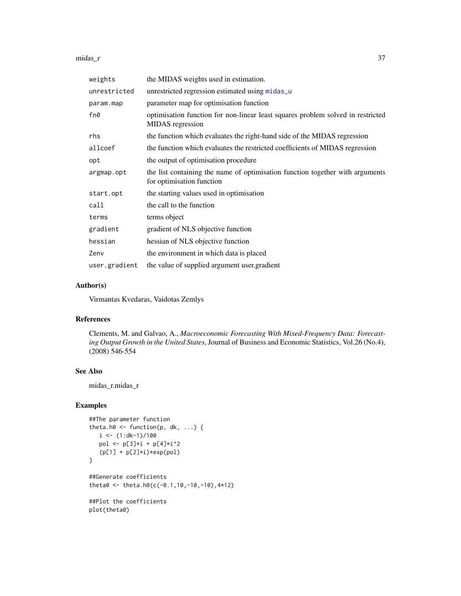#### <span id="page-36-0"></span> $midas_r$  37

| weights       | the MIDAS weights used in estimation.                                                                      |
|---------------|------------------------------------------------------------------------------------------------------------|
| unrestricted  | unrestricted regression estimated using midas_u                                                            |
| param.map     | parameter map for optimisation function                                                                    |
| fn0           | optimisation function for non-linear least squares problem solved in restricted<br>MIDAS regression        |
| rhs           | the function which evaluates the right-hand side of the MIDAS regression                                   |
| allcoef       | the function which evaluates the restricted coefficients of MIDAS regression                               |
| opt           | the output of optimisation procedure                                                                       |
| argmap.opt    | the list containing the name of optimisation function together with arguments<br>for optimisation function |
| start.opt     | the starting values used in optimisation                                                                   |
| call          | the call to the function                                                                                   |
| terms         | terms object                                                                                               |
| gradient      | gradient of NLS objective function                                                                         |
| hessian       | hessian of NLS objective function                                                                          |
| Zenv          | the environment in which data is placed                                                                    |
| user.gradient | the value of supplied argument user gradient                                                               |

#### Author(s)

Virmantas Kvedaras, Vaidotas Zemlys

### References

Clements, M. and Galvao, A., *Macroeconomic Forecasting With Mixed-Frequency Data: Forecasting Output Growth in the United States*, Journal of Business and Economic Statistics, Vol.26 (No.4), (2008) 546-554

### See Also

midas\_r.midas\_r

```
##The parameter function
theta.h0 \leq function(p, dk, ...) {
  i \leq (1:d-1)/100pol <- p[3]*i + p[4]*i^2
   (p[1] + p[2]*i)*exp(pol)}
##Generate coefficients
theta0 <- theta.h0(c(-0.1,10,-10,-10),4*12)
##Plot the coefficients
plot(theta0)
```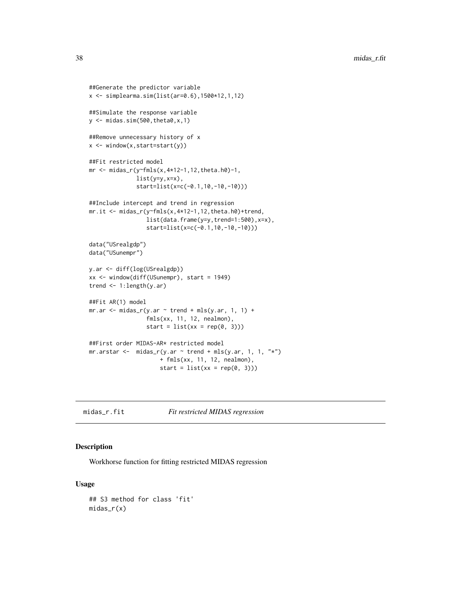```
##Generate the predictor variable
x <- simplearma.sim(list(ar=0.6),1500*12,1,12)
##Simulate the response variable
y \leftarrow midas.sim(500, theta0, x, 1)
##Remove unnecessary history of x
x <- window(x,start=start(y))
##Fit restricted model
mr <- midas_r(y~fmls(x,4*12-1,12,theta.h0)-1,
              list(y=y, x=x),
              start=list(x=c(-0.1,10,-10,-10)))
##Include intercept and trend in regression
mr.it <- midas_r(y~fmls(x,4*12-1,12,theta.h0)+trend,
                 list(data.frame(y=y,trend=1:500),x=x),
                 start=list(x=c(-0.1,10,-10,-10)))
data("USrealgdp")
data("USunempr")
y.ar <- diff(log(USrealgdp))
xx <- window(diff(USunempr), start = 1949)
trend \leq 1: length(y.ar)
##Fit AR(1) model
mr.ar < -mid midas_r(y.ar - trend + mls(y.ar, 1, 1) +fmls(xx, 11, 12, nealmon),
                 start = list(xx = rep(0, 3)))##First order MIDAS-AR* restricted model
mrarstar < -midi> midas_r(y-ar \sim trend + mls(y-ar, 1, 1, "*")+ fmls(xx, 11, 12, nealmon),
                     start = list(xx = rep(0, 3)))
```
midas\_r.fit *Fit restricted MIDAS regression*

#### Description

Workhorse function for fitting restricted MIDAS regression

#### Usage

```
## S3 method for class 'fit'
midas_r(x)
```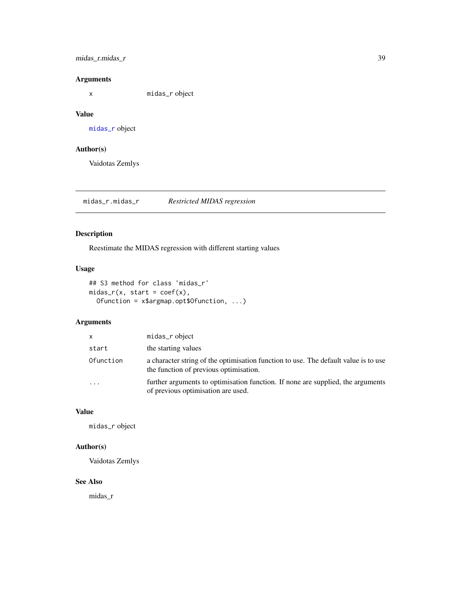### <span id="page-38-0"></span>midas\_r.midas\_r 39

### Arguments

x midas\_r object

#### Value

[midas\\_r](#page-34-1) object

### Author(s)

Vaidotas Zemlys

midas\_r.midas\_r *Restricted MIDAS regression*

### Description

Reestimate the MIDAS regression with different starting values

### Usage

```
## S3 method for class 'midas_r'
midas_r(x, start = coef(x),Ofunction = x$argmap.opt$Ofunction, ...)
```
#### Arguments

| $\mathsf{x}$            | midas_r object                                                                                                                |
|-------------------------|-------------------------------------------------------------------------------------------------------------------------------|
| start                   | the starting values                                                                                                           |
| Ofunction               | a character string of the optimisation function to use. The default value is to use<br>the function of previous optimisation. |
| $\cdot$ $\cdot$ $\cdot$ | further arguments to optimisation function. If none are supplied, the arguments<br>of previous optimisation are used.         |

#### Value

midas\_r object

### Author(s)

Vaidotas Zemlys

### See Also

midas\_r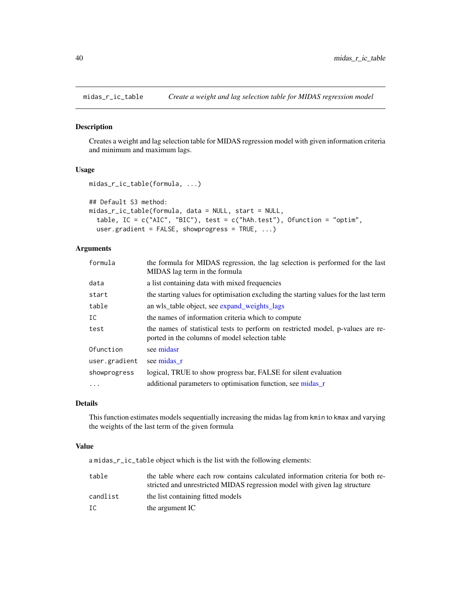<span id="page-39-1"></span><span id="page-39-0"></span>

Creates a weight and lag selection table for MIDAS regression model with given information criteria and minimum and maximum lags.

#### Usage

```
midas_r_ic_table(formula, ...)
```

```
## Default S3 method:
```

```
midas_r_ic_table(formula, data = NULL, start = NULL,
  table, IC = c("AIC", "BIC"), test = c("hAh.test"), Ofunction = "optim",
  user.gradient = FALSE, showprogress = TRUE, ...)
```
### Arguments

| formula       | the formula for MIDAS regression, the lag selection is performed for the last<br>MIDAS lag term in the formula                    |
|---------------|-----------------------------------------------------------------------------------------------------------------------------------|
| data          | a list containing data with mixed frequencies                                                                                     |
| start         | the starting values for optimisation excluding the starting values for the last term                                              |
| table         | an wls table object, see expand weights lags                                                                                      |
| IC            | the names of information criteria which to compute                                                                                |
| test          | the names of statistical tests to perform on restricted model, p-values are re-<br>ported in the columns of model selection table |
| Ofunction     | see midasr                                                                                                                        |
| user.gradient | see midas r                                                                                                                       |
| showprogress  | logical, TRUE to show progress bar, FALSE for silent evaluation                                                                   |
|               | additional parameters to optimisation function, see midas_r                                                                       |
|               |                                                                                                                                   |

### Details

This function estimates models sequentially increasing the midas lag from kmin to kmax and varying the weights of the last term of the given formula

#### Value

a midas\_r\_ic\_table object which is the list with the following elements:

| table    | the table where each row contains calculated information criteria for both re- |
|----------|--------------------------------------------------------------------------------|
|          | stricted and unrestricted MIDAS regression model with given lag structure      |
| candlist | the list containing fitted models                                              |
| IC       | the argument IC                                                                |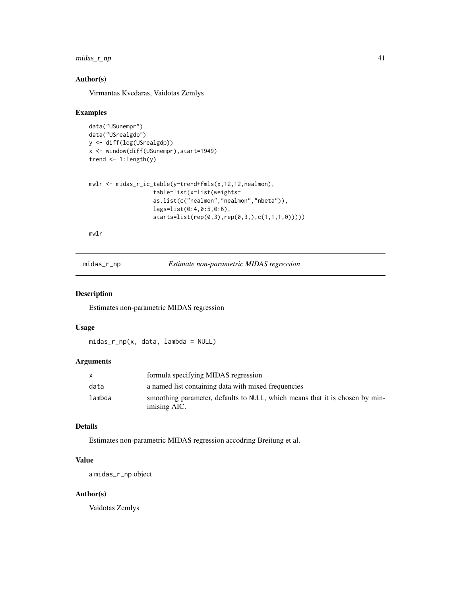### <span id="page-40-0"></span>midas\_r\_np 41

### Author(s)

Virmantas Kvedaras, Vaidotas Zemlys

#### Examples

```
data("USunempr")
data("USrealgdp")
y <- diff(log(USrealgdp))
x <- window(diff(USunempr),start=1949)
trend <- 1:length(y)
```

```
mwlr <- midas_r_ic_table(y~trend+fmls(x,12,12,nealmon),
                   table=list(x=list(weights=
                   as.list(c("nealmon","nealmon","nbeta")),
                   lags=list(0:4,0:5,0:6),
                   starts=list(rep(0,3),rep(0,3,),c(1,1,1,0)))))
```
mwlr

midas\_r\_np *Estimate non-parametric MIDAS regression*

### Description

Estimates non-parametric MIDAS regression

#### Usage

midas\_r\_np(x, data, lambda = NULL)

#### Arguments

| X      | formula specifying MIDAS regression                                                          |
|--------|----------------------------------------------------------------------------------------------|
| data   | a named list containing data with mixed frequencies                                          |
| lambda | smoothing parameter, defaults to NULL, which means that it is chosen by min-<br>imising AIC. |

### Details

Estimates non-parametric MIDAS regression accodring Breitung et al.

### Value

a midas\_r\_np object

#### Author(s)

Vaidotas Zemlys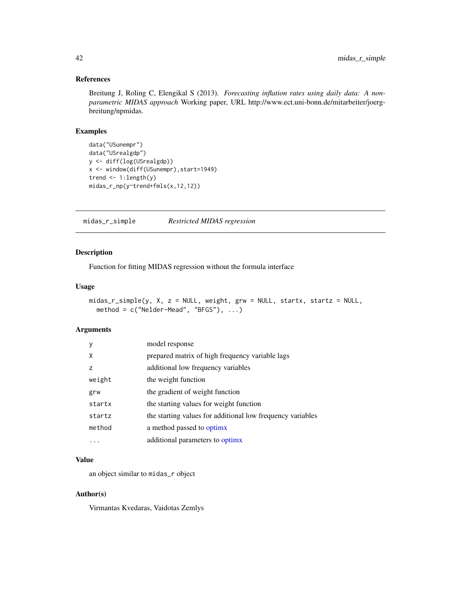#### References

Breitung J, Roling C, Elengikal S (2013). *Forecasting inflation rates using daily data: A nonparametric MIDAS approach* Working paper, URL http://www.ect.uni-bonn.de/mitarbeiter/joergbreitung/npmidas.

#### Examples

```
data("USunempr")
data("USrealgdp")
y <- diff(log(USrealgdp))
x <- window(diff(USunempr),start=1949)
trend <- 1:length(y)
midas_r_np(y~trend+fmls(x,12,12))
```
midas\_r\_simple *Restricted MIDAS regression*

### Description

Function for fitting MIDAS regression without the formula interface

### Usage

```
midas_r_simple(y, X, z = NULL, weight, grw = NULL, startx, startz = NULL,
 method = c("Nelder-Mead", "BFGS"), ...)
```
#### Arguments

| y      | model response                                             |
|--------|------------------------------------------------------------|
| X      | prepared matrix of high frequency variable lags            |
| z      | additional low frequency variables                         |
| weight | the weight function                                        |
| grw    | the gradient of weight function                            |
| startx | the starting values for weight function                    |
| startz | the starting values for additional low frequency variables |
| method | a method passed to optimx                                  |
|        | additional parameters to optimx                            |

### Value

an object similar to midas\_r object

### Author(s)

Virmantas Kvedaras, Vaidotas Zemlys

<span id="page-41-0"></span>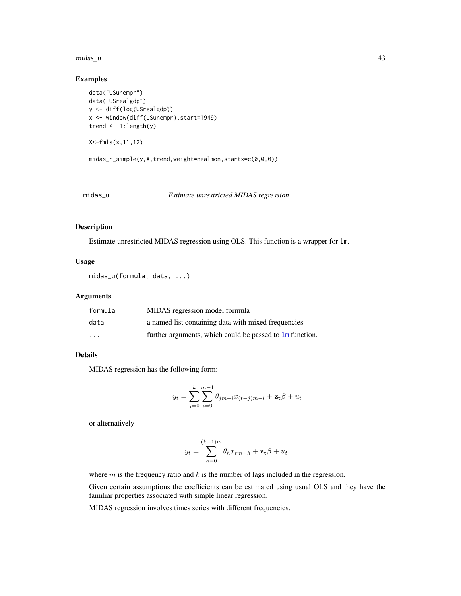#### <span id="page-42-0"></span>midas\_u 43

### Examples

```
data("USunempr")
data("USrealgdp")
y <- diff(log(USrealgdp))
x <- window(diff(USunempr),start=1949)
trend <- 1:length(y)
```
X<-fmls(x,11,12)

midas\_r\_simple(y,X,trend,weight=nealmon,startx=c(0,0,0))

#### <span id="page-42-1"></span>midas\_u *Estimate unrestricted MIDAS regression*

### Description

Estimate unrestricted MIDAS regression using OLS. This function is a wrapper for lm.

#### Usage

midas\_u(formula, data, ...)

#### Arguments

| formula | MIDAS regression model formula                                    |
|---------|-------------------------------------------------------------------|
| data    | a named list containing data with mixed frequencies               |
| $\cdot$ | further arguments, which could be passed to $\text{Im}$ function. |

#### Details

MIDAS regression has the following form:

$$
y_t = \sum_{j=0}^{k} \sum_{i=0}^{m-1} \theta_{jm+i} x_{(t-j)m-i} + \mathbf{z_t} \beta + u_t
$$

or alternatively

$$
y_t = \sum_{h=0}^{(k+1)m} \theta_h x_{tm-h} + \mathbf{z_t} \beta + u_t,
$$

where  $m$  is the frequency ratio and  $k$  is the number of lags included in the regression.

Given certain assumptions the coefficients can be estimated using usual OLS and they have the familiar properties associated with simple linear regression.

MIDAS regression involves times series with different frequencies.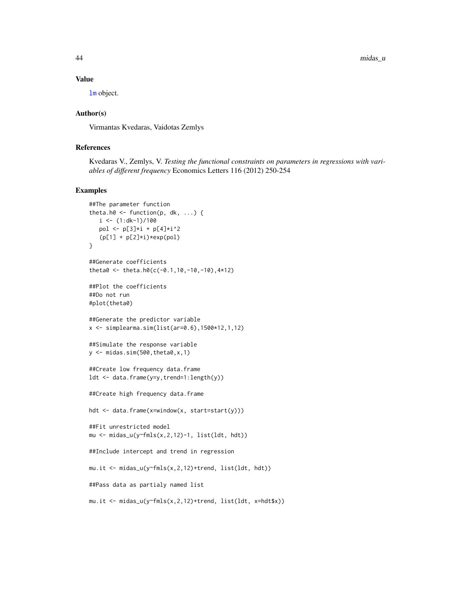44 midas\_u

#### Value

[lm](#page-0-0) object.

#### Author(s)

Virmantas Kvedaras, Vaidotas Zemlys

#### References

Kvedaras V., Zemlys, V. *Testing the functional constraints on parameters in regressions with variables of different frequency* Economics Letters 116 (2012) 250-254

```
##The parameter function
theta.h0 \leq function(p, dk, ...) {
  i \leq (1:d-1)/100pol <- p[3]*i + p[4]*i^2(p[1] + p[2]*i)*exp(pol)}
##Generate coefficients
theta0 <- theta.h0(c(-0.1,10,-10,-10),4*12)
##Plot the coefficients
##Do not run
#plot(theta0)
##Generate the predictor variable
x \le - simplearma.sim(list(ar=0.6),1500*12,1,12)
##Simulate the response variable
y \le - midas.sim(500, theta0, x, 1)
##Create low frequency data.frame
ldt <- data.frame(y=y,trend=1:length(y))
##Create high frequency data.frame
hdt <- data.frame(x=window(x, start=start(y)))
##Fit unrestricted model
mu <- midas_u(y~fmls(x,2,12)-1, list(ldt, hdt))
##Include intercept and trend in regression
mu.it <- midas_u(y~fmls(x,2,12)+trend, list(ldt, hdt))
##Pass data as partialy named list
mu.it <- midas_u(y~fmls(x,2,12)+trend, list(ldt, x=hdt$x))
```
<span id="page-43-0"></span>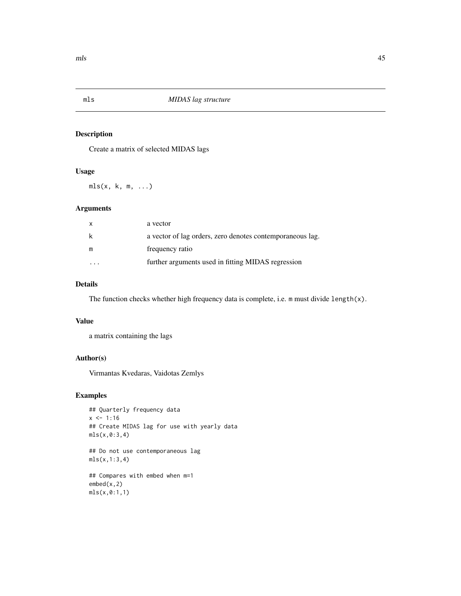<span id="page-44-0"></span>

Create a matrix of selected MIDAS lags

### Usage

mls(x, k, m, ...)

### Arguments

| x | a vector                                                  |
|---|-----------------------------------------------------------|
| k | a vector of lag orders, zero denotes contemporaneous lag. |
| m | frequency ratio                                           |
|   | further arguments used in fitting MIDAS regression        |

### Details

The function checks whether high frequency data is complete, i.e. m must divide length(x).

### Value

a matrix containing the lags

### Author(s)

Virmantas Kvedaras, Vaidotas Zemlys

```
## Quarterly frequency data
x \le -1:16## Create MIDAS lag for use with yearly data
mls(x,0:3,4)
## Do not use contemporaneous lag
mls(x,1:3,4)
## Compares with embed when m=1
embed(x,2)
mls(x,0:1,1)
```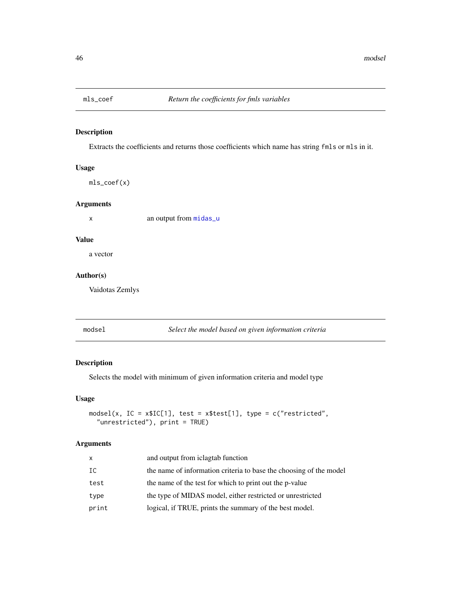<span id="page-45-0"></span>

Extracts the coefficients and returns those coefficients which name has string fmls or mls in it.

#### Usage

mls\_coef(x)

### Arguments

x an output from [midas\\_u](#page-42-1)

#### Value

a vector

### Author(s)

Vaidotas Zemlys

modsel *Select the model based on given information criteria*

### Description

Selects the model with minimum of given information criteria and model type

#### Usage

```
modsel(x, IC = x$IC[1], test = x$test[1], type = c("restricted",
  "unrestricted"), print = TRUE)
```
### Arguments

| x     | and output from iclagtab function                                  |
|-------|--------------------------------------------------------------------|
| IC    | the name of information criteria to base the choosing of the model |
| test  | the name of the test for which to print out the p-value            |
| type  | the type of MIDAS model, either restricted or unrestricted         |
| print | logical, if TRUE, prints the summary of the best model.            |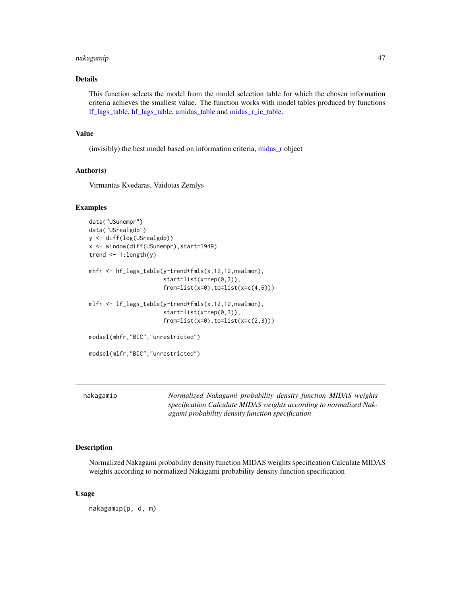#### <span id="page-46-0"></span>nakagamip 47

#### Details

This function selects the model from the model selection table for which the chosen information criteria achieves the smallest value. The function works with model tables produced by functions [lf\\_lags\\_table,](#page-30-1) [hf\\_lags\\_table,](#page-24-1) [amidas\\_table](#page-6-1) and [midas\\_r\\_ic\\_table.](#page-39-1)

#### Value

(invisibly) the best model based on information criteria, [midas\\_r](#page-34-1) object

#### Author(s)

Virmantas Kvedaras, Vaidotas Zemlys

#### Examples

```
data("USunempr")
data("USrealgdp")
y <- diff(log(USrealgdp))
x <- window(diff(USunempr),start=1949)
trend \leq -1: length(y)
mhfr <- hf_lags_table(y~trend+fmls(x,12,12,nealmon),
                      start=list(x=rep(0,3)),
                      from=list(x=0),to=list(x=c(4,6)))mlfr <- lf_lags_table(y~trend+fmls(x,12,12,nealmon),
                      start=list(x=rep(0,3)),
                      from=list(x=0),to=list(x=c(2,3)))modsel(mhfr,"BIC","unrestricted")
modsel(mlfr,"BIC","unrestricted")
```
nakagamip *Normalized Nakagami probability density function MIDAS weights specification Calculate MIDAS weights according to normalized Nakagami probability density function specification*

#### **Description**

Normalized Nakagami probability density function MIDAS weights specification Calculate MIDAS weights according to normalized Nakagami probability density function specification

#### Usage

nakagamip(p, d, m)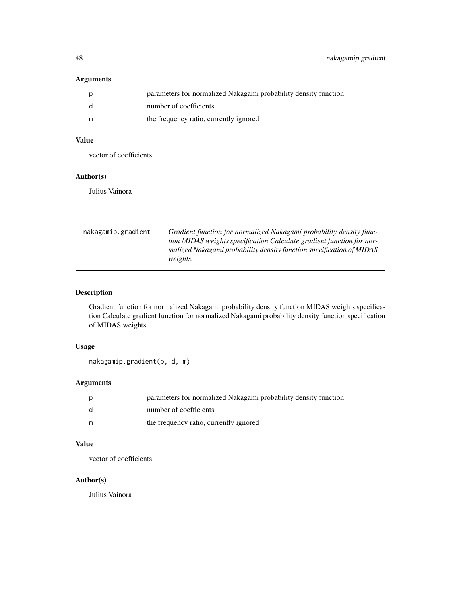### <span id="page-47-0"></span>Arguments

|   | parameters for normalized Nakagami probability density function |
|---|-----------------------------------------------------------------|
|   | number of coefficients                                          |
| m | the frequency ratio, currently ignored                          |

### Value

vector of coefficients

#### Author(s)

Julius Vainora

| nakagamip.gradient | Gradient function for normalized Nakagami probability density func-<br>tion MIDAS weights specification Calculate gradient function for nor-<br>malized Nakagami probability density function specification of MIDAS<br><i>weights.</i> |
|--------------------|-----------------------------------------------------------------------------------------------------------------------------------------------------------------------------------------------------------------------------------------|
|                    |                                                                                                                                                                                                                                         |

### Description

Gradient function for normalized Nakagami probability density function MIDAS weights specification Calculate gradient function for normalized Nakagami probability density function specification of MIDAS weights.

### Usage

nakagamip.gradient(p, d, m)

### Arguments

|     | parameters for normalized Nakagami probability density function |
|-----|-----------------------------------------------------------------|
| - d | number of coefficients                                          |
| m   | the frequency ratio, currently ignored                          |

### Value

vector of coefficients

### Author(s)

Julius Vainora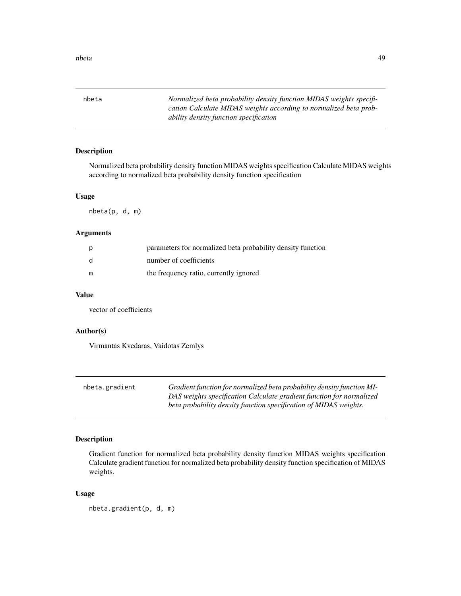<span id="page-48-0"></span>nbeta *Normalized beta probability density function MIDAS weights specification Calculate MIDAS weights according to normalized beta probability density function specification*

### Description

Normalized beta probability density function MIDAS weights specification Calculate MIDAS weights according to normalized beta probability density function specification

#### Usage

nbeta(p, d, m)

### Arguments

| p            | parameters for normalized beta probability density function |
|--------------|-------------------------------------------------------------|
| <sub>d</sub> | number of coefficients                                      |
| m            | the frequency ratio, currently ignored                      |

#### Value

vector of coefficients

#### Author(s)

Virmantas Kvedaras, Vaidotas Zemlys

| nbeta.gradient | Gradient function for normalized beta probability density function MI- |
|----------------|------------------------------------------------------------------------|
|                | DAS weights specification Calculate gradient function for normalized   |
|                | beta probability density function specification of MIDAS weights.      |

### Description

Gradient function for normalized beta probability density function MIDAS weights specification Calculate gradient function for normalized beta probability density function specification of MIDAS weights.

#### Usage

nbeta.gradient(p, d, m)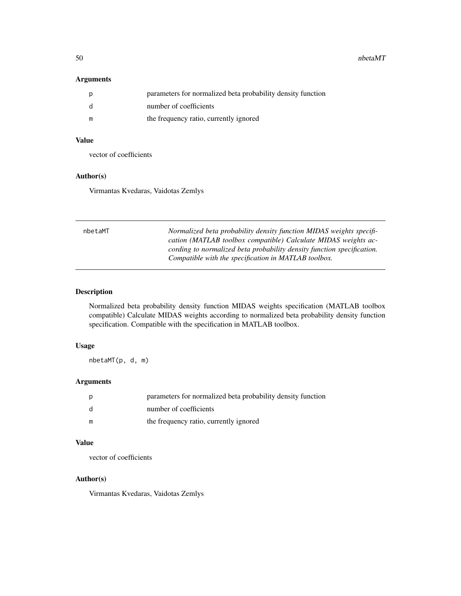<span id="page-49-0"></span>50 nbetaMT

### Arguments

|     | parameters for normalized beta probability density function |
|-----|-------------------------------------------------------------|
| - q | number of coefficients                                      |
| m   | the frequency ratio, currently ignored                      |

### Value

vector of coefficients

#### Author(s)

Virmantas Kvedaras, Vaidotas Zemlys

| nbetaMT | Normalized beta probability density function MIDAS weights specifi-<br>cation (MATLAB toolbox compatible) Calculate MIDAS weights ac-<br>cording to normalized beta probability density function specification.<br>Compatible with the specification in MATLAB toolbox. |
|---------|-------------------------------------------------------------------------------------------------------------------------------------------------------------------------------------------------------------------------------------------------------------------------|
|         |                                                                                                                                                                                                                                                                         |

### Description

Normalized beta probability density function MIDAS weights specification (MATLAB toolbox compatible) Calculate MIDAS weights according to normalized beta probability density function specification. Compatible with the specification in MATLAB toolbox.

#### Usage

nbetaMT(p, d, m)

### Arguments

|     | parameters for normalized beta probability density function |
|-----|-------------------------------------------------------------|
| - d | number of coefficients                                      |
| m   | the frequency ratio, currently ignored                      |

### Value

vector of coefficients

#### Author(s)

Virmantas Kvedaras, Vaidotas Zemlys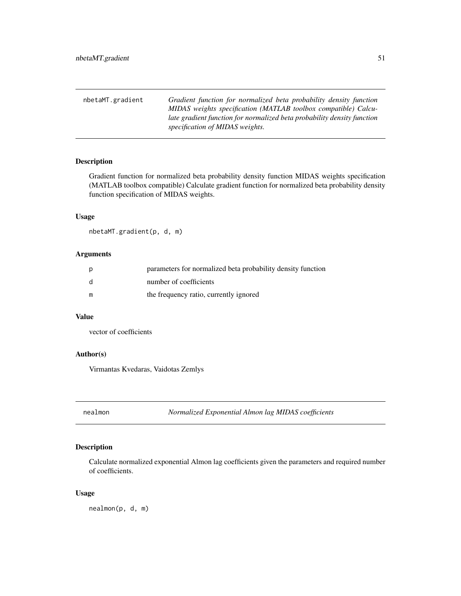<span id="page-50-0"></span>

| nbetaMT.gradient | Gradient function for normalized beta probability density function      |
|------------------|-------------------------------------------------------------------------|
|                  | MIDAS weights specification (MATLAB toolbox compatible) Calcu-          |
|                  | late gradient function for normalized beta probability density function |
|                  | specification of MIDAS weights.                                         |

Gradient function for normalized beta probability density function MIDAS weights specification (MATLAB toolbox compatible) Calculate gradient function for normalized beta probability density function specification of MIDAS weights.

#### Usage

nbetaMT.gradient(p, d, m)

### Arguments

| p            | parameters for normalized beta probability density function |
|--------------|-------------------------------------------------------------|
| <sub>d</sub> | number of coefficients                                      |
| m            | the frequency ratio, currently ignored                      |

#### Value

vector of coefficients

### Author(s)

Virmantas Kvedaras, Vaidotas Zemlys

nealmon *Normalized Exponential Almon lag MIDAS coefficients*

### Description

Calculate normalized exponential Almon lag coefficients given the parameters and required number of coefficients.

#### Usage

nealmon(p, d, m)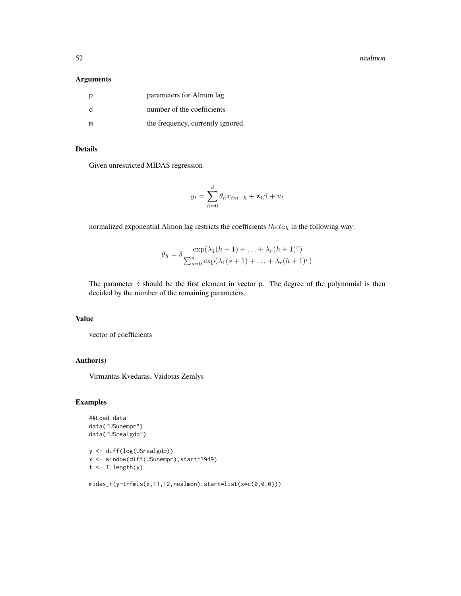52 nealmon states of the state of the state of the state of the state of the state of the state of the state of the state of the state of the state of the state of the state of the state of the state of the state of the st

#### Arguments

| р  | parameters for Almon lag          |
|----|-----------------------------------|
| d. | number of the coefficients        |
|    | the frequency, currently ignored. |

### Details

Given unrestricted MIDAS regression

$$
y_t = \sum_{h=0}^d \theta_h x_{tm-h} + \mathbf{z_t} \beta + u_t
$$

normalized exponential Almon lag restricts the coefficients  $theta_h$  in the following way:

$$
\theta_h = \delta \frac{\exp(\lambda_1(h+1)+\ldots+\lambda_r(h+1)^r)}{\sum_{s=0}^d \exp(\lambda_1(s+1)+\ldots+\lambda_r(h+1)^r)}
$$

The parameter  $\delta$  should be the first element in vector p. The degree of the polynomial is then decided by the number of the remaining parameters.

### Value

vector of coefficients

### Author(s)

Virmantas Kvedaras, Vaidotas Zemlys

```
##Load data
data("USunempr")
data("USrealgdp")
```

```
y <- diff(log(USrealgdp))
x <- window(diff(USunempr),start=1949)
t < -1: length(y)
```

```
midas_r(y~t+fmls(x,11,12,nealmon),start=list(x=c(0,0,0)))
```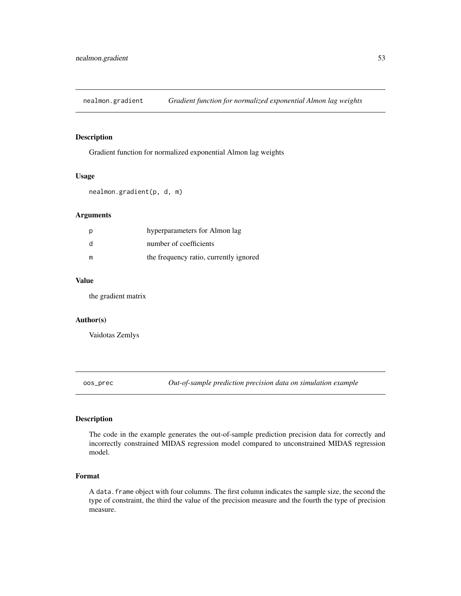<span id="page-52-0"></span>nealmon.gradient *Gradient function for normalized exponential Almon lag weights*

#### Description

Gradient function for normalized exponential Almon lag weights

#### Usage

```
nealmon.gradient(p, d, m)
```
#### Arguments

|    | hyperparameters for Almon lag          |
|----|----------------------------------------|
| -d | number of coefficients                 |
| m  | the frequency ratio, currently ignored |

#### Value

the gradient matrix

#### Author(s)

Vaidotas Zemlys

oos\_prec *Out-of-sample prediction precision data on simulation example*

#### Description

The code in the example generates the out-of-sample prediction precision data for correctly and incorrectly constrained MIDAS regression model compared to unconstrained MIDAS regression model.

#### Format

A data.frame object with four columns. The first column indicates the sample size, the second the type of constraint, the third the value of the precision measure and the fourth the type of precision measure.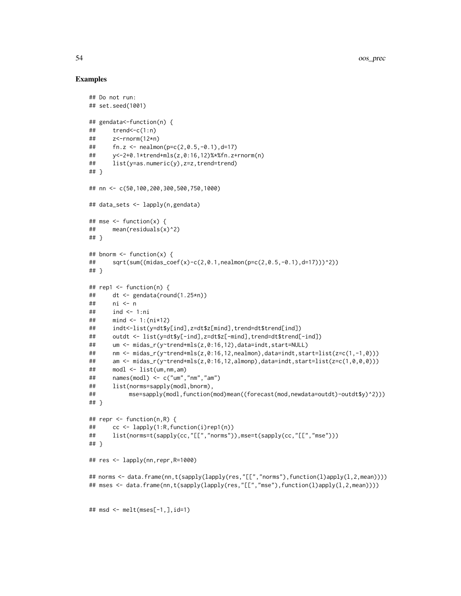```
## Do not run:
## set.seed(1001)
## gendata<-function(n) {
\# trend <- c(1:n)
## z<-rnorm(12*n)
## fn.z <- nealmon(p=c(2,0.5,-0.1),d=17)
## y<-2+0.1*trend+mls(z,0:16,12)%*%fn.z+rnorm(n)
## list(y=as.numeric(y),z=z,trend=trend)
## }
## nn <- c(50,100,200,300,500,750,1000)
## data_sets <- lapply(n,gendata)
## mse <- function(x) {
## mean(residuals(x)^2)
## }
## bnorm \leq function(x) {
## sqrt(sum((midas_coef(x)-c(2,0.1,nealmon(p=c(2,0.5,-0.1),d=17)))^2))
## }
## rep1 \leq function(n) {
## dt <- gendata(round(1.25*n))
## ni <- n
## ind <- 1:ni
## mind <- 1:(ni*12)
## indt<-list(y=dt$y[ind],z=dt$z[mind],trend=dt$trend[ind])
## outdt <- list(y=dt$y[-ind],z=dt$z[-mind],trend=dt$trend[-ind])
## um <- midas_r(y~trend+mls(z,0:16,12),data=indt,start=NULL)
## nm <- midas_r(y~trend+mls(z,0:16,12,nealmon),data=indt,start=list(z=c(1,-1,0)))
## am <- midas_r(y~trend+mls(z,0:16,12,almonp),data=indt,start=list(z=c(1,0,0,0)))
## modl <- list(um,nm,am)
## names(modl) <- c("um","nm","am")
## list(norms=sapply(modl,bnorm),
## mse=sapply(modl,function(mod)mean((forecast(mod,newdata=outdt)-outdt$y)^2)))
## }
## repr <- function(n,R) {
## cc <- lapply(1:R,function(i)rep1(n))
## list(norms=t(sapply(cc,"[[","norms")),mse=t(sapply(cc,"[[","mse")))
## }
## res <- lapply(nn,repr,R=1000)
## norms <- data.frame(nn,t(sapply(lapply(res,"[[","norms"),function(l)apply(l,2,mean))))
## mses <- data.frame(nn,t(sapply(lapply(res,"[[","mse"),function(l)apply(l,2,mean))))
## msd <- melt(mses[-1,],id=1)
```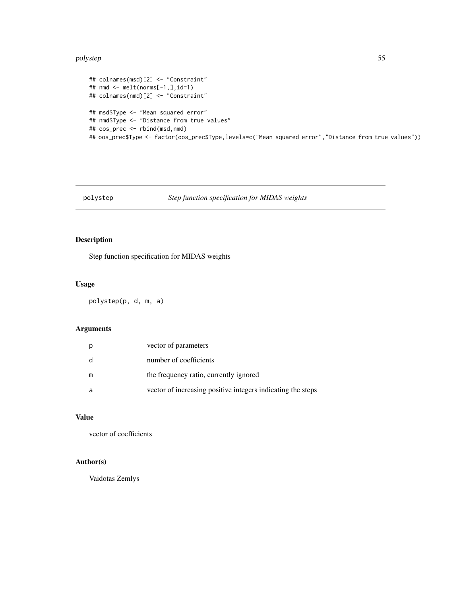#### <span id="page-54-0"></span>polystep 55 to 10 minutes and 20 minutes of the contract of the contract of the contract of the contract of the contract of the contract of the contract of the contract of the contract of the contract of the contract of th

```
## colnames(msd)[2] <- "Constraint"
## nmd <- melt(norms[-1,],id=1)
## colnames(nmd)[2] <- "Constraint"
## msd$Type <- "Mean squared error"
## nmd$Type <- "Distance from true values"
## oos_prec <- rbind(msd,nmd)
## oos_prec$Type <- factor(oos_prec$Type,levels=c("Mean squared error","Distance from true values"))
```
### polystep *Step function specification for MIDAS weights*

### Description

Step function specification for MIDAS weights

#### Usage

polystep(p, d, m, a)

### Arguments

|   | vector of parameters                                        |
|---|-------------------------------------------------------------|
| d | number of coefficients                                      |
| m | the frequency ratio, currently ignored                      |
| a | vector of increasing positive integers indicating the steps |

#### Value

vector of coefficients

### Author(s)

Vaidotas Zemlys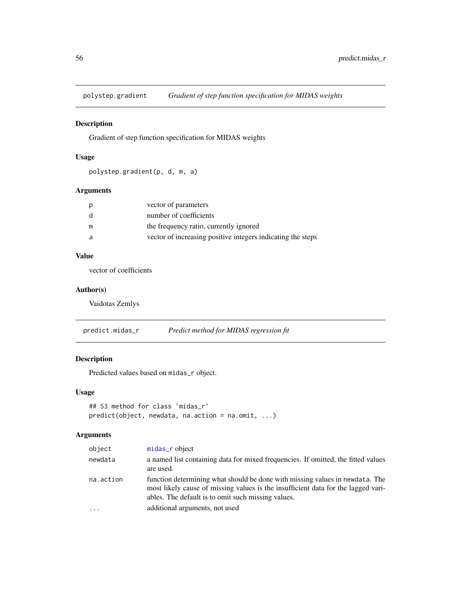<span id="page-55-0"></span>

Gradient of step function specification for MIDAS weights

### Usage

polystep.gradient(p, d, m, a)

### Arguments

| vector of parameters                                        |
|-------------------------------------------------------------|
| number of coefficients                                      |
| the frequency ratio, currently ignored                      |
| vector of increasing positive integers indicating the steps |
|                                                             |

### Value

vector of coefficients

### Author(s)

Vaidotas Zemlys

predict.midas\_r *Predict method for MIDAS regression fit*

### Description

Predicted values based on midas\_r object.

#### Usage

```
## S3 method for class 'midas_r'
predict(object, newdata, na.action = na.omit, ...)
```
### Arguments

| object    | midas_r object                                                                                                                                                                                                          |
|-----------|-------------------------------------------------------------------------------------------------------------------------------------------------------------------------------------------------------------------------|
| newdata   | a named list containing data for mixed frequencies. If omitted, the fitted values<br>are used.                                                                                                                          |
| na.action | function determining what should be done with missing values in newdata. The<br>most likely cause of missing values is the insufficient data for the lagged vari-<br>ables. The default is to omit such missing values. |
| .         | additional arguments, not used                                                                                                                                                                                          |
|           |                                                                                                                                                                                                                         |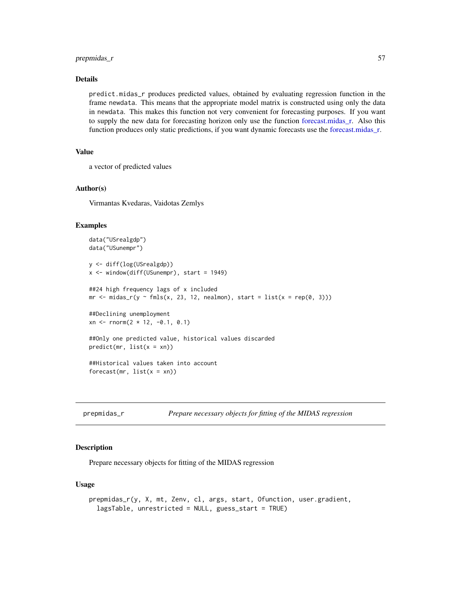#### <span id="page-56-0"></span>prepmidas\_r 57

#### Details

predict.midas\_r produces predicted values, obtained by evaluating regression function in the frame newdata. This means that the appropriate model matrix is constructed using only the data in newdata. This makes this function not very convenient for forecasting purposes. If you want to supply the new data for forecasting horizon only use the function [forecast.midas\\_r.](#page-15-2) Also this function produces only static predictions, if you want dynamic forecasts use the [forecast.midas\\_r.](#page-15-2)

### Value

```
a vector of predicted values
```
#### Author(s)

Virmantas Kvedaras, Vaidotas Zemlys

#### Examples

```
data("USrealgdp")
data("USunempr")
y <- diff(log(USrealgdp))
x <- window(diff(USunempr), start = 1949)
##24 high frequency lags of x included
mr <- midas_r(y ~ fmls(x, 23, 12, nealmon), start = list(x = rep(0, 3)))
##Declining unemployment
xn <- rnorm(2 * 12, -0.1, 0.1)
##Only one predicted value, historical values discarded
predict(mr, list(x = xn))##Historical values taken into account
forecast(mr, list(x = xn))
```

| prepmidas_r |  | Prepare necessary objects for fitting of the MIDAS regression |
|-------------|--|---------------------------------------------------------------|
|             |  |                                                               |

#### **Description**

Prepare necessary objects for fitting of the MIDAS regression

#### Usage

```
prepmidas_r(y, X, mt, Zenv, cl, args, start, Ofunction, user.gradient,
  lagsTable, unrestricted = NULL, guess_start = TRUE)
```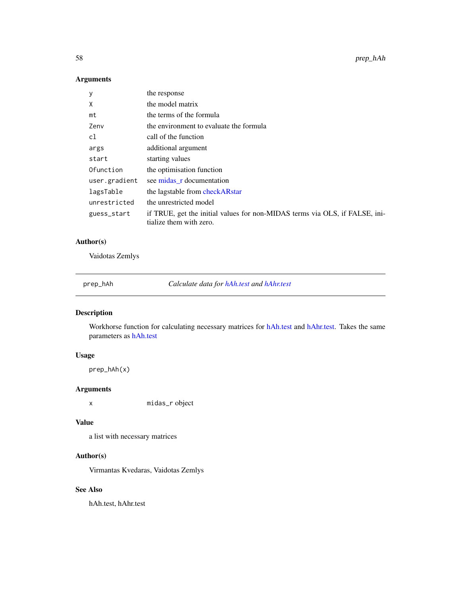<span id="page-57-0"></span>58 prep\_hAh

### Arguments

| у             | the response                                                                                           |
|---------------|--------------------------------------------------------------------------------------------------------|
| χ             | the model matrix                                                                                       |
| mt            | the terms of the formula                                                                               |
| Zenv          | the environment to evaluate the formula                                                                |
| cl            | call of the function                                                                                   |
| args          | additional argument                                                                                    |
| start         | starting values                                                                                        |
| Ofunction     | the optimisation function                                                                              |
| user.gradient | see midas r documentation                                                                              |
| lagsTable     | the lagstable from checkARstar                                                                         |
| unrestricted  | the unrestricted model                                                                                 |
| guess_start   | if TRUE, get the initial values for non-MIDAS terms via OLS, if FALSE, ini-<br>tialize them with zero. |

### Author(s)

Vaidotas Zemlys

prep\_hAh *Calculate data for [hAh.test](#page-19-1) and [hAhr.test](#page-20-1)*

### Description

Workhorse function for calculating necessary matrices for [hAh.test](#page-19-1) and [hAhr.test.](#page-20-1) Takes the same parameters as [hAh.test](#page-19-1)

### Usage

prep\_hAh(x)

### Arguments

x midas\_r object

### Value

a list with necessary matrices

### Author(s)

Virmantas Kvedaras, Vaidotas Zemlys

### See Also

hAh.test, hAhr.test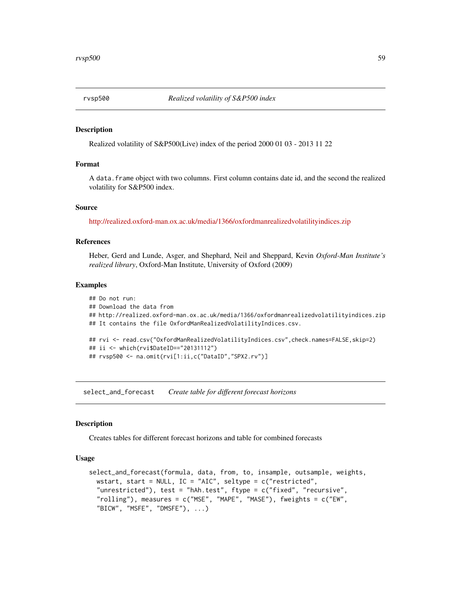<span id="page-58-0"></span>Realized volatility of S&P500(Live) index of the period 2000 01 03 - 2013 11 22

#### Format

A data.frame object with two columns. First column contains date id, and the second the realized volatility for S&P500 index.

#### Source

<http://realized.oxford-man.ox.ac.uk/media/1366/oxfordmanrealizedvolatilityindices.zip>

#### References

Heber, Gerd and Lunde, Asger, and Shephard, Neil and Sheppard, Kevin *Oxford-Man Institute's realized library*, Oxford-Man Institute, University of Oxford (2009)

#### Examples

```
## Do not run:
## Download the data from
## http://realized.oxford-man.ox.ac.uk/media/1366/oxfordmanrealizedvolatilityindices.zip
## It contains the file OxfordManRealizedVolatilityIndices.csv.
## rvi <- read.csv("OxfordManRealizedVolatilityIndices.csv",check.names=FALSE,skip=2)
## ii <- which(rvi$DateID=="20131112")
## rvsp500 <- na.omit(rvi[1:ii,c("DataID","SPX2.rv")]
```
select\_and\_forecast *Create table for different forecast horizons*

#### Description

Creates tables for different forecast horizons and table for combined forecasts

#### Usage

```
select_and_forecast(formula, data, from, to, insample, outsample, weights,
 wstart, start = NULL, IC = "AIC", seltype = c("restricted",
  "unrestricted"), test = "hAh.test", ftype = c("fixed", "recursive",
  "rolling"), measures = c("MSE", "MAPE", "MASE"), fweights = c("EW",
  "BICW", "MSFE", "DMSFE"), ...)
```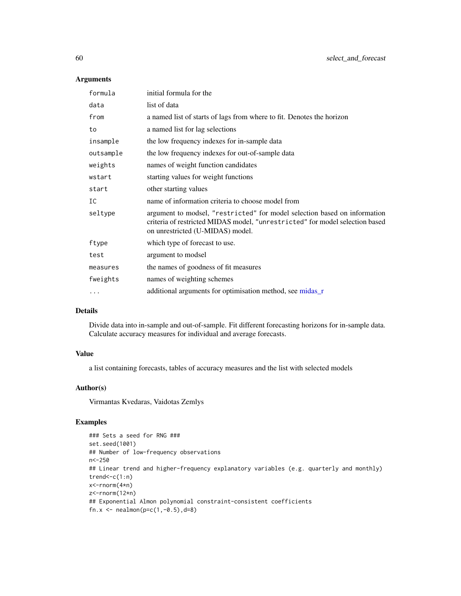### Arguments

| formula   | initial formula for the                                                                                                                                                                       |
|-----------|-----------------------------------------------------------------------------------------------------------------------------------------------------------------------------------------------|
| data      | list of data                                                                                                                                                                                  |
| from      | a named list of starts of lags from where to fit. Denotes the horizon                                                                                                                         |
| to        | a named list for lag selections                                                                                                                                                               |
| insample  | the low frequency indexes for in-sample data                                                                                                                                                  |
| outsample | the low frequency indexes for out-of-sample data                                                                                                                                              |
| weights   | names of weight function candidates                                                                                                                                                           |
| wstart    | starting values for weight functions                                                                                                                                                          |
| start     | other starting values                                                                                                                                                                         |
| IC        | name of information criteria to choose model from                                                                                                                                             |
| seltype   | argument to modsel, "restricted" for model selection based on information<br>criteria of restricted MIDAS model, "unrestricted" for model selection based<br>on unrestricted (U-MIDAS) model. |
| ftype     | which type of forecast to use.                                                                                                                                                                |
| test      | argument to modsel                                                                                                                                                                            |
| measures  | the names of goodness of fit measures                                                                                                                                                         |
| fweights  | names of weighting schemes                                                                                                                                                                    |
|           | additional arguments for optimisation method, see midas_r                                                                                                                                     |
|           |                                                                                                                                                                                               |

### Details

Divide data into in-sample and out-of-sample. Fit different forecasting horizons for in-sample data. Calculate accuracy measures for individual and average forecasts.

#### Value

a list containing forecasts, tables of accuracy measures and the list with selected models

### Author(s)

Virmantas Kvedaras, Vaidotas Zemlys

```
### Sets a seed for RNG ###
set.seed(1001)
## Number of low-frequency observations
n<-250
## Linear trend and higher-frequency explanatory variables (e.g. quarterly and monthly)
trend<-c(1:n)x<-rnorm(4*n)
z<-rnorm(12*n)
## Exponential Almon polynomial constraint-consistent coefficients
fn.x <- nealmon(p=c(1,-0.5),d=8)
```
<span id="page-59-0"></span>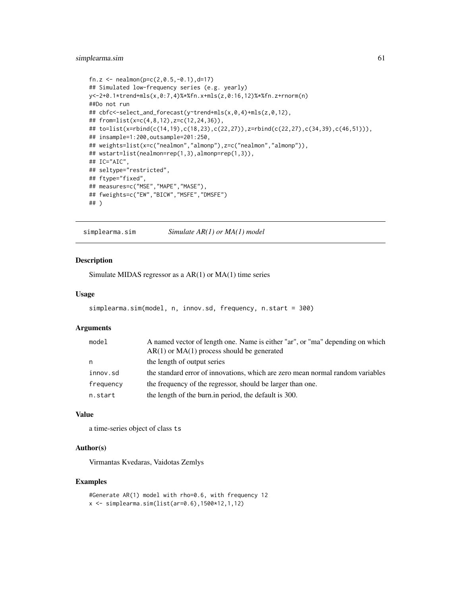#### <span id="page-60-0"></span>simplearma.sim 61

```
fn.z <- nealmon(p=c(2, 0.5, -0.1), d=17)## Simulated low-frequency series (e.g. yearly)
y<-2+0.1*trend+mls(x,0:7,4)%*%fn.x+mls(z,0:16,12)%*%fn.z+rnorm(n)
##Do not run
## cbfc<-select_and_forecast(y~trend+mls(x,0,4)+mls(z,0,12),
## from=list(x=c(4,8,12),z=c(12,24,36)),
## to=list(x=rbind(c(14,19),c(18,23),c(22,27)),z=rbind(c(22,27),c(34,39),c(46,51))),
## insample=1:200,outsample=201:250,
## weights=list(x=c("nealmon","almonp"),z=c("nealmon","almonp")),
## wstart=list(nealmon=rep(1,3),almonp=rep(1,3)),
## IC="AIC",
## seltype="restricted",
## ftype="fixed",
## measures=c("MSE","MAPE","MASE"),
## fweights=c("EW","BICW","MSFE","DMSFE")
## )
```
simplearma.sim *Simulate AR(1) or MA(1) model*

### Description

Simulate MIDAS regressor as a AR(1) or MA(1) time series

#### Usage

```
simplearma.sim(model, n, innov.sd, frequency, n.start = 300)
```
#### Arguments

| model     | A named vector of length one. Name is either "ar", or "ma" depending on which<br>$AR(1)$ or $MA(1)$ process should be generated |
|-----------|---------------------------------------------------------------------------------------------------------------------------------|
| n         | the length of output series                                                                                                     |
| innov.sd  | the standard error of innovations, which are zero mean normal random variables                                                  |
| frequency | the frequency of the regressor, should be larger than one.                                                                      |
| n.start   | the length of the burn in period, the default is 300.                                                                           |

#### Value

a time-series object of class ts

### Author(s)

Virmantas Kvedaras, Vaidotas Zemlys

```
#Generate AR(1) model with rho=0.6, with frequency 12
x <- simplearma.sim(list(ar=0.6),1500*12,1,12)
```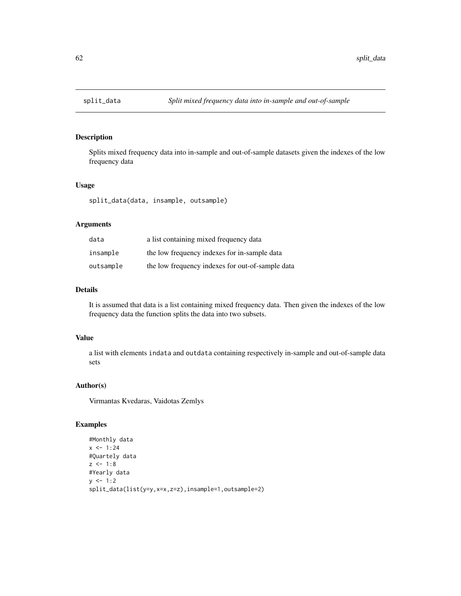Splits mixed frequency data into in-sample and out-of-sample datasets given the indexes of the low frequency data

#### Usage

split\_data(data, insample, outsample)

#### Arguments

| data      | a list containing mixed frequency data           |
|-----------|--------------------------------------------------|
| insample  | the low frequency indexes for in-sample data     |
| outsample | the low frequency indexes for out-of-sample data |

### Details

It is assumed that data is a list containing mixed frequency data. Then given the indexes of the low frequency data the function splits the data into two subsets.

#### Value

a list with elements indata and outdata containing respectively in-sample and out-of-sample data sets

#### Author(s)

Virmantas Kvedaras, Vaidotas Zemlys

```
#Monthly data
x \le -1:24#Quartely data
z \le -1:8#Yearly data
y \le -1:2split_data(list(y=y,x=x,z=z),insample=1,outsample=2)
```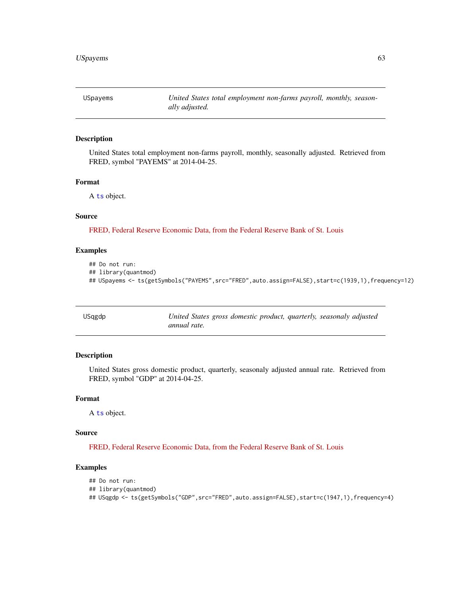<span id="page-62-0"></span>USpayems *United States total employment non-farms payroll, monthly, seasonally adjusted.*

#### Description

United States total employment non-farms payroll, monthly, seasonally adjusted. Retrieved from FRED, symbol "PAYEMS" at 2014-04-25.

### Format

A [ts](#page-0-0) object.

#### Source

[FRED, Federal Reserve Economic Data, from the Federal Reserve Bank of St. Louis](http://research.stlouisfed.org/fred2/series/PAYEMS)

#### Examples

## Do not run:

```
## library(quantmod)
```

```
## USpayems <- ts(getSymbols("PAYEMS",src="FRED",auto.assign=FALSE),start=c(1939,1),frequency=12)
```

| USqgdp | United States gross domestic product, quarterly, seasonaly adjusted |
|--------|---------------------------------------------------------------------|
|        | annual rate.                                                        |

### Description

United States gross domestic product, quarterly, seasonaly adjusted annual rate. Retrieved from FRED, symbol "GDP" at 2014-04-25.

#### Format

A [ts](#page-0-0) object.

#### Source

[FRED, Federal Reserve Economic Data, from the Federal Reserve Bank of St. Louis](http://research.stlouisfed.org/fred2/series/GDP)

```
## Do not run:
## library(quantmod)
## USqgdp <- ts(getSymbols("GDP",src="FRED",auto.assign=FALSE),start=c(1947,1),frequency=4)
```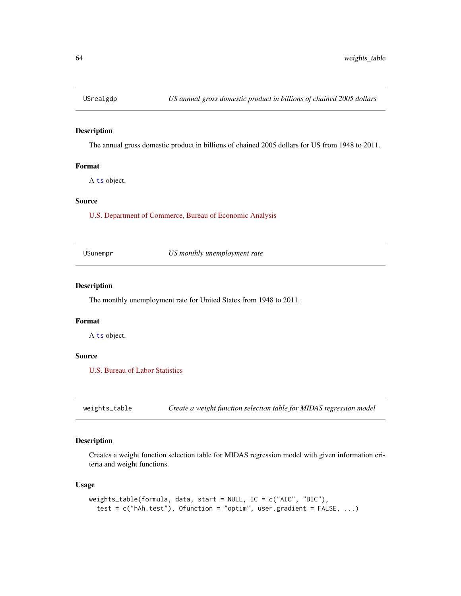<span id="page-63-0"></span>

The annual gross domestic product in billions of chained 2005 dollars for US from 1948 to 2011.

#### Format

A [ts](#page-0-0) object.

#### Source

[U.S. Department of Commerce, Bureau of Economic Analysis](http://www.bea.gov/national/xls/gdplev.xls)

USunempr *US monthly unemployment rate*

### Description

The monthly unemployment rate for United States from 1948 to 2011.

#### Format

A [ts](#page-0-0) object.

### Source

[U.S. Bureau of Labor Statistics](http://data.bls.gov/timeseries/LNS14000000)

weights\_table *Create a weight function selection table for MIDAS regression model*

### Description

Creates a weight function selection table for MIDAS regression model with given information criteria and weight functions.

#### Usage

```
weights_table(formula, data, start = NULL, IC = c("AIC", "BIC"),
  test = c("hAh.test"), Ofunction = "optim", user.gradient = FALSE, ...)
```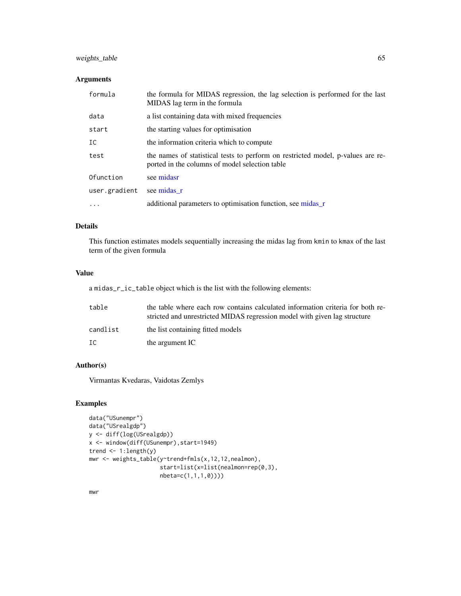### <span id="page-64-0"></span>weights\_table 65

#### Arguments

| formula       | the formula for MIDAS regression, the lag selection is performed for the last<br>MIDAS lag term in the formula                    |
|---------------|-----------------------------------------------------------------------------------------------------------------------------------|
| data          | a list containing data with mixed frequencies                                                                                     |
| start         | the starting values for optimisation                                                                                              |
| IC            | the information criteria which to compute                                                                                         |
| test          | the names of statistical tests to perform on restricted model, p-values are re-<br>ported in the columns of model selection table |
| Ofunction     | see midasr                                                                                                                        |
| user.gradient | see midas r                                                                                                                       |
| $\cdot$       | additional parameters to optimisation function, see midas_r                                                                       |

### Details

This function estimates models sequentially increasing the midas lag from kmin to kmax of the last term of the given formula

### Value

a midas\_r\_ic\_table object which is the list with the following elements:

| table    | the table where each row contains calculated information criteria for both re-<br>stricted and unrestricted MIDAS regression model with given lag structure |
|----------|-------------------------------------------------------------------------------------------------------------------------------------------------------------|
| candlist | the list containing fitted models                                                                                                                           |
| IC       | the argument IC                                                                                                                                             |

### Author(s)

Virmantas Kvedaras, Vaidotas Zemlys

### Examples

```
data("USunempr")
data("USrealgdp")
y <- diff(log(USrealgdp))
x <- window(diff(USunempr),start=1949)
trend <- 1:length(y)
mwr <- weights_table(y~trend+fmls(x,12,12,nealmon),
                     start=list(x=list(nealmon=rep(0,3),
                     nbeta=c(1,1,1,0))))
```
mwr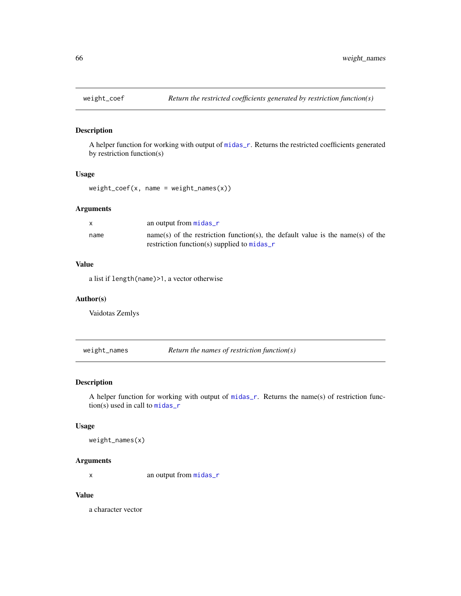<span id="page-65-0"></span>

A helper function for working with output of [midas\\_r](#page-34-1). Returns the restricted coefficients generated by restriction function(s)

#### Usage

 $weight\_coeff(x, name = weight\_names(x))$ 

#### Arguments

|      | an output from $midas_r$                                                        |
|------|---------------------------------------------------------------------------------|
| name | name(s) of the restriction function(s), the default value is the name(s) of the |
|      | restriction function(s) supplied to $midas_r$                                   |

#### Value

a list if length(name)>1, a vector otherwise

#### Author(s)

Vaidotas Zemlys

weight\_names *Return the names of restriction function(s)*

### Description

A helper function for working with output of [midas\\_r](#page-34-1). Returns the name(s) of restriction function(s) used in call to [midas\\_r](#page-34-1)

### Usage

weight\_names(x)

#### Arguments

x an output from [midas\\_r](#page-34-1)

### Value

a character vector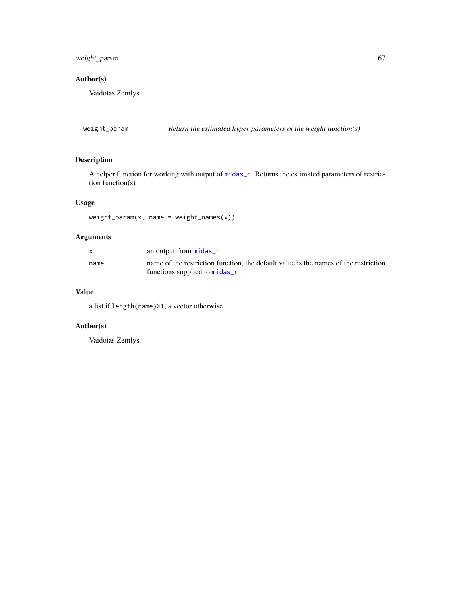### <span id="page-66-0"></span>weight\_param 67

### Author(s)

Vaidotas Zemlys

weight\_param *Return the estimated hyper parameters of the weight function(s)*

### Description

A helper function for working with output of [midas\\_r](#page-34-1). Returns the estimated parameters of restriction function(s)

### Usage

weight\_param(x, name = weight\_names(x))

### Arguments

|      | an output from $midas_r$                                                            |
|------|-------------------------------------------------------------------------------------|
| name | name of the restriction function, the default value is the names of the restriction |
|      | functions supplied to midas_r                                                       |

#### Value

a list if length(name)>1, a vector otherwise

### Author(s)

Vaidotas Zemlys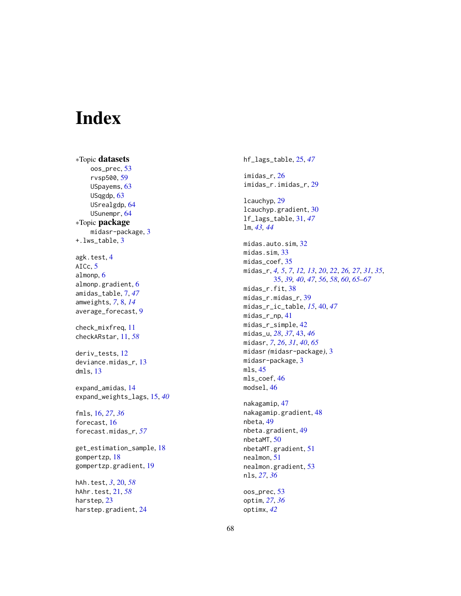# <span id="page-67-0"></span>Index

∗Topic datasets oos\_prec , [53](#page-52-0) rvsp500 , [59](#page-58-0) USpayems, [63](#page-62-0) USqgdp , [63](#page-62-0) USrealgdp , [64](#page-63-0) USunempr, [64](#page-63-0) ∗Topic package midasr-package , [3](#page-2-0) +.lws\_table , [3](#page-2-0) agk.test , [4](#page-3-0) AICc, [5](#page-4-0) almonp, [6](#page-5-0) almonp.gradient, [6](#page-5-0) amidas\_table , [7](#page-6-0) , *[47](#page-46-0)* amweights , *[7](#page-6-0)* , [8](#page-7-0) , *[14](#page-13-0)* average\_forecast , [9](#page-8-0) check\_mixfreq , [11](#page-10-0) checkARstar , [11](#page-10-0) , *[58](#page-57-0)* deriv\_tests , [12](#page-11-0) deviance.midas\_r , [13](#page-12-0) dmls , [13](#page-12-0) expand\_amidas , [14](#page-13-0) expand\_weights\_lags , [15](#page-14-0) , *[40](#page-39-0)* fmls , [16](#page-15-0) , *[27](#page-26-0)* , *[36](#page-35-0)* forecast, [16](#page-15-0) forecast.midas\_r , *[57](#page-56-0)* get\_estimation\_sample , [18](#page-17-0) gompertzp , [18](#page-17-0) gompertzp.gradient , [19](#page-18-0) hAh.test , *[3](#page-2-0)* , [20](#page-19-0) , *[58](#page-57-0)* hAhr.test , [21](#page-20-0) , *[58](#page-57-0)* harstep, [23](#page-22-0) harstep.gradient , [24](#page-23-0)

hf\_lags\_table , [25](#page-24-0) , *[47](#page-46-0)* imidas\_r , [26](#page-25-0) imidas\_r.imidas\_r , [29](#page-28-0) lcauchyp , [29](#page-28-0) lcauchyp.gradient, [30](#page-29-0) lf\_lags\_table , [31](#page-30-0) , *[47](#page-46-0)* lm , *[43](#page-42-0) , [44](#page-43-0)* midas.auto.sim, [32](#page-31-0) midas.sim , [33](#page-32-0) midas\_coef,[35](#page-34-0) midas\_r , *[4](#page-3-0) , [5](#page-4-0)* , *[7](#page-6-0)* , *[12](#page-11-0) , [13](#page-12-0)* , *[20](#page-19-0)* , *[22](#page-21-0)* , *[26,](#page-25-0) [27](#page-26-0)* , *[31](#page-30-0)* , *[35](#page-34-0)* , [35](#page-34-0) , *[39](#page-38-0) , [40](#page-39-0)* , *[47](#page-46-0)* , *[56](#page-55-0)* , *[58](#page-57-0)* , *[60](#page-59-0)* , *[65](#page-64-0) [–67](#page-66-0)* midas\_r.fit,3<mark>8</mark> midas\_r.midas\_r , [39](#page-38-0) midas\_r\_ic\_table , *[15](#page-14-0)* , [40](#page-39-0) , *[47](#page-46-0)* midas\_r\_np , [41](#page-40-0) midas\_r\_simple,[42](#page-41-0) midas\_u , *[28](#page-27-0)* , *[37](#page-36-0)* , [43](#page-42-0) , *[46](#page-45-0)* midasr , *[7](#page-6-0)* , *[26](#page-25-0)* , *[31](#page-30-0)* , *[40](#page-39-0)* , *[65](#page-64-0)* midasr *(*midasr-package *)* , [3](#page-2-0) midasr-package , [3](#page-2-0) mls , [45](#page-44-0) mls\_coef , [46](#page-45-0) modsel , [46](#page-45-0) nakagamip , [47](#page-46-0) nakagamip.gradient, [48](#page-47-0) nbeta , [49](#page-48-0) nbeta.gradient , [49](#page-48-0) nbetaMT, <mark>5</mark>0 nbetaMT.gradient , [51](#page-50-0) nealmon , [51](#page-50-0) nealmon.gradient , [53](#page-52-0) nls , *[27](#page-26-0)* , *[36](#page-35-0)*

oos\_prec , [53](#page-52-0) optim , *[27](#page-26-0)* , *[36](#page-35-0)* optimx , *[42](#page-41-0)*